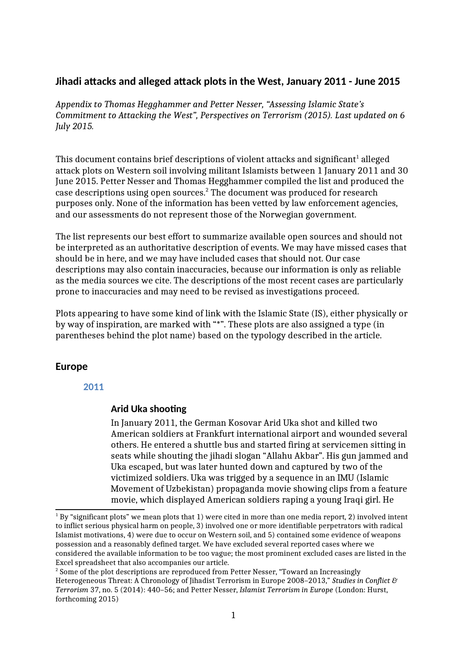# **Jihadi attacks and alleged attack plots in the West, January 2011 - June 2015**

*Appendix to Thomas Hegghammer and Petter Nesser, "Assessing Islamic State's Commitment to Attacking the West", Perspectives on Terrorism (2015). Last updated on 6 July 2015.*

This document contains brief descriptions of violent attacks and significant $^{\rm 1}$  alleged attack plots on Western soil involving militant Islamists between 1 January 2011 and 30 June 2015. Petter Nesser and Thomas Hegghammer compiled the list and produced the case descriptions using open sources.<sup>2</sup> The document was produced for research purposes only. None of the information has been vetted by law enforcement agencies, and our assessments do not represent those of the Norwegian government.

The list represents our best effort to summarize available open sources and should not be interpreted as an authoritative description of events. We may have missed cases that should be in here, and we may have included cases that should not. Our case descriptions may also contain inaccuracies, because our information is only as reliable as the media sources we cite. The descriptions of the most recent cases are particularly prone to inaccuracies and may need to be revised as investigations proceed.

Plots appearing to have some kind of link with the Islamic State (IS), either physically or by way of inspiration, are marked with "\*". These plots are also assigned a type (in parentheses behind the plot name) based on the typology described in the article.

# **Europe**

## **2011**

## **Arid Uka shooting**

In January 2011, the German Kosovar Arid Uka shot and killed two American soldiers at Frankfurt international airport and wounded several others. He entered a shuttle bus and started firing at servicemen sitting in seats while shouting the jihadi slogan "Allahu Akbar". His gun jammed and Uka escaped, but was later hunted down and captured by two of the victimized soldiers. Uka was trigged by a sequence in an IMU (Islamic Movement of Uzbekistan) propaganda movie showing clips from a feature movie, which displayed American soldiers raping a young Iraqi girl. He

 $^{\rm 1}$  By "significant plots" we mean plots that 1) were cited in more than one media report, 2) involved intent to inflict serious physical harm on people, 3) involved one or more identifiable perpetrators with radical Islamist motivations, 4) were due to occur on Western soil, and 5) contained some evidence of weapons possession and a reasonably defined target. We have excluded several reported cases where we considered the available information to be too vague; the most prominent excluded cases are listed in the Excel spreadsheet that also accompanies our article.

 $^{\rm 2}$  Some of the plot descriptions are reproduced from Petter Nesser, "Toward an Increasingly Heterogeneous Threat: A Chronology of Jihadist Terrorism in Europe 2008–2013," *Studies in Conflict & Terrorism* 37, no. 5 (2014): 440–56; and Petter Nesser, *Islamist Terrorism in Europe* (London: Hurst, forthcoming 2015)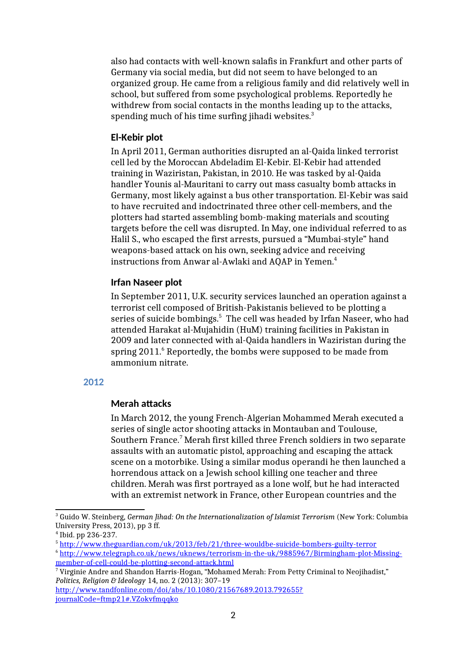also had contacts with well-known salafis in Frankfurt and other parts of Germany via social media, but did not seem to have belonged to an organized group. He came from a religious family and did relatively well in school, but suffered from some psychological problems. Reportedly he withdrew from social contacts in the months leading up to the attacks, spending much of his time surfing jihadi websites.<sup>3</sup>

### **El-Kebir plot**

In April 2011, German authorities disrupted an al-Qaida linked terrorist cell led by the Moroccan Abdeladim El-Kebir. El-Kebir had attended training in Waziristan, Pakistan, in 2010. He was tasked by al-Qaida handler Younis al-Mauritani to carry out mass casualty bomb attacks in Germany, most likely against a bus other transportation. El-Kebir was said to have recruited and indoctrinated three other cell-members, and the plotters had started assembling bomb-making materials and scouting targets before the cell was disrupted. In May, one individual referred to as Halil S., who escaped the first arrests, pursued a "Mumbai-style" hand weapons-based attack on his own, seeking advice and receiving instructions from Anwar al-Awlaki and AQAP in Yemen.<sup>4</sup>

### **Irfan Naseer plot**

In September 2011, U.K. security services launched an operation against a terrorist cell composed of British-Pakistanis believed to be plotting a series of suicide bombings. $^5\,$  The cell was headed by Irfan Naseer, who had attended Harakat al-Mujahidin (HuM) training facilities in Pakistan in 2009 and later connected with al-Qaida handlers in Waziristan during the spring 2011.<sup>6</sup> Reportedly, the bombs were supposed to be made from ammonium nitrate.

### **2012**

#### **Merah attacks**

In March 2012, the young French-Algerian Mohammed Merah executed a series of single actor shooting attacks in Montauban and Toulouse, Southern France.<sup>7</sup> Merah first killed three French soldiers in two separate assaults with an automatic pistol, approaching and escaping the attack scene on a motorbike. Using a similar modus operandi he then launched a horrendous attack on a Jewish school killing one teacher and three children. Merah was first portrayed as a lone wolf, but he had interacted with an extremist network in France, other European countries and the

4 Ibid. pp 236-237.

<sup>3</sup> Guido W. Steinberg, *German Jihad: On the Internationalization of Islamist Terrorism* (New York: Columbia University Press, 2013), pp 3 ff.

<sup>5</sup> http://www.theguardian.com/uk/2013/feb/21/three-wouldbe-suicide-bombers-guilty-terror

<sup>6</sup> http://www.telegraph.co.uk/news/uknews/terrorism-in-the-uk/9885967/Birmingham-plot-Missingmember-of-cell-could-be-plotting-second-attack.html

 $^7$  Virginie Andre and Shandon Harris-Hogan, "Mohamed Merah: From Petty Criminal to Neojihadist,"  $\,$ *Politics, Religion & Ideology* 14, no. 2 (2013): 307–19

http://www.tandfonline.com/doi/abs/10.1080/21567689.2013.792655? journalCode=ftmp21#.VZokvfmqqko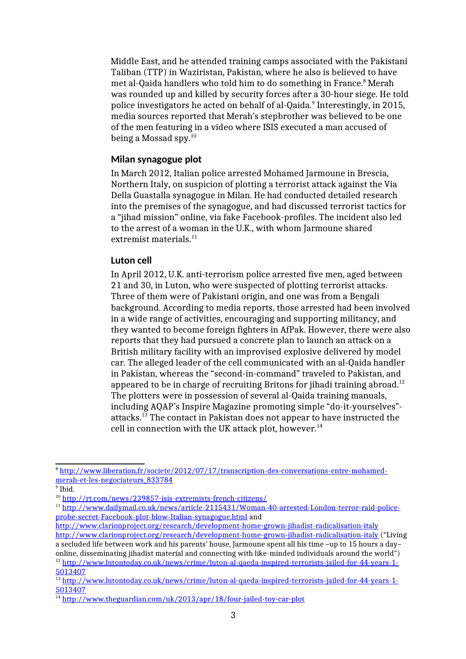Middle East, and he attended training camps associated with the Pakistani Taliban (TTP) in Waziristan, Pakistan, where he also is believed to have met al-Qaida handlers who told him to do something in France.<sup>8</sup> Merah was rounded up and killed by security forces after a 30-hour siege. He told police investigators he acted on behalf of al-Qaida.<sup>9</sup> Interestingly, in 2015, media sources reported that Merah's stepbrother was believed to be one of the men featuring in a video where ISIS executed a man accused of being a Mossad spy.<sup>10</sup>

## **Milan synagogue plot**

In March 2012, Italian police arrested Mohamed Jarmoune in Brescia, Northern Italy, on suspicion of plotting a terrorist attack against the Via Della Guastalla synagogue in Milan. He had conducted detailed research into the premises of the synagogue, and had discussed terrorist tactics for a "jihad mission" online, via fake Facebook-profiles. The incident also led to the arrest of a woman in the U.K., with whom Jarmoune shared extremist materials. $11$ 

### **Luton cell**

In April 2012, U.K. anti-terrorism police arrested five men, aged between 21 and 30, in Luton, who were suspected of plotting terrorist attacks. Three of them were of Pakistani origin, and one was from a Bengali background. According to media reports, those arrested had been involved in a wide range of activities, encouraging and supporting militancy, and they wanted to become foreign fighters in AfPak. However, there were also reports that they had pursued a concrete plan to launch an attack on a British military facility with an improvised explosive delivered by model car. The alleged leader of the cell communicated with an al-Qaida handler in Pakistan, whereas the "second-in-command" traveled to Pakistan, and appeared to be in charge of recruiting Britons for jihadi training abroad.<sup>12</sup> The plotters were in possession of several al-Qaida training manuals, including AQAP's Inspire Magazine promoting simple "do-it-yourselves" attacks.<sup>13</sup> The contact in Pakistan does not appear to have instructed the cell in connection with the UK attack plot, however. $^{14}$ 

<sup>8</sup> http://www.liberation.fr/societe/2012/07/17/transcription-des-conversations-entre-mohamedmerah-et-les-negociateurs\_833784

<sup>&</sup>lt;sup>9</sup> Ibid.

<sup>10</sup> http://rt.com/news/239857-isis-extremists-french-citizens/

<sup>11</sup> http://www.dailymail.co.uk/news/article-2115431/Woman-40-arrested-London-terror-raid-policeprobe-secret-Facebook-plot-blow-Italian-synagogue.html and

http://www.clarionproject.org/research/development-home-grown-jihadist-radicalisation-italy http://www.clarionproject.org/research/development-home-grown-jihadist-radicalisation-italy ("Living a secluded life between work and his parents' house, Jarmoune spent all his time –up to 15 hours a day– online, disseminating jihadist material and connecting with like-minded individuals around the world") <sup>12</sup> http://www.lutontoday.co.uk/news/crime/luton-al-qaeda-inspired-terrorists-jailed-for-44-years-1-5013407

<sup>&</sup>lt;sup>13</sup> http://www.lutontoday.co.uk/news/crime/luton-al-qaeda-inspired-terrorists-jailed-for-44-years-1-5013407

<sup>&</sup>lt;sup>14</sup> http://www.theguardian.com/uk/2013/apr/18/four-jailed-toy-car-plot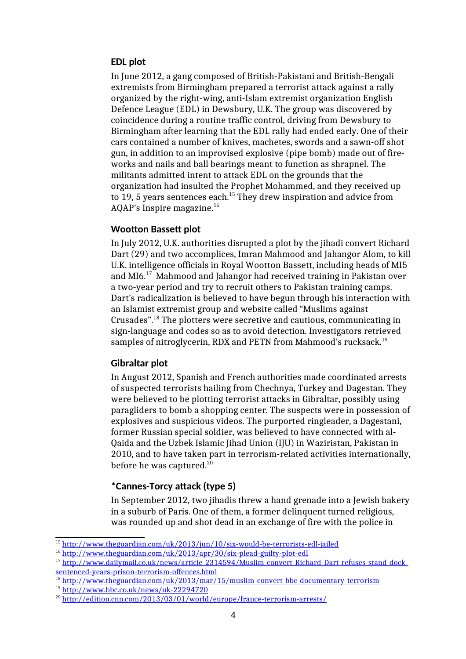## **EDL plot**

In June 2012, a gang composed of British-Pakistani and British-Bengali extremists from Birmingham prepared a terrorist attack against a rally organized by the right-wing, anti-Islam extremist organization English Defence League (EDL) in Dewsbury, U.K. The group was discovered by coincidence during a routine traffic control, driving from Dewsbury to Birmingham after learning that the EDL rally had ended early. One of their cars contained a number of knives, machetes, swords and a sawn-off shot gun, in addition to an improvised explosive (pipe bomb) made out of fireworks and nails and ball bearings meant to function as shrapnel. The militants admitted intent to attack EDL on the grounds that the organization had insulted the Prophet Mohammed, and they received up to 19, 5 years sentences each.<sup>15</sup> They drew inspiration and advice from AQAP's Inspire magazine.<sup>16</sup>

# **Wootton Bassett plot**

In July 2012, U.K. authorities disrupted a plot by the jihadi convert Richard Dart (29) and two accomplices, Imran Mahmood and Jahangor Alom, to kill U.K. intelligence officials in Royal Wootton Bassett, including heads of MI5 and MI6.<sup>17</sup> Mahmood and Jahangor had received training in Pakistan over a two-year period and try to recruit others to Pakistan training camps. Dart's radicalization is believed to have begun through his interaction with an Islamist extremist group and website called "Muslims against Crusades".<sup>18</sup> The plotters were secretive and cautious, communicating in sign-language and codes so as to avoid detection. Investigators retrieved samples of nitroglycerin, RDX and PETN from Mahmood's rucksack.<sup>19</sup>

## **Gibraltar plot**

In August 2012, Spanish and French authorities made coordinated arrests of suspected terrorists hailing from Chechnya, Turkey and Dagestan. They were believed to be plotting terrorist attacks in Gibraltar, possibly using paragliders to bomb a shopping center. The suspects were in possession of explosives and suspicious videos. The purported ringleader, a Dagestani, former Russian special soldier, was believed to have connected with al-Qaida and the Uzbek Islamic Jihad Union (IJU) in Waziristan, Pakistan in 2010, and to have taken part in terrorism-related activities internationally, before he was captured.<sup>20</sup>

# **\*Cannes-Torcy attack (type 5)**

In September 2012, two jihadis threw a hand grenade into a Jewish bakery in a suburb of Paris. One of them, a former delinquent turned religious, was rounded up and shot dead in an exchange of fire with the police in

<sup>15</sup> http://www.theguardian.com/uk/2013/jun/10/six-would-be-terrorists-edl-jailed

<sup>16</sup> http://www.theguardian.com/uk/2013/apr/30/six-plead-guilty-plot-edl

<sup>17</sup> http://www.dailymail.co.uk/news/article-2314594/Muslim-convert-Richard-Dart-refuses-stand-docksentenced-years-prison-terrorism-offences.html

<sup>&</sup>lt;sup>18</sup> http://www.theguardian.com/uk/2013/mar/15/muslim-convert-bbc-documentary-terrorism <sup>19</sup> http://www.bbc.co.uk/news/uk-22294720

<sup>&</sup>lt;sup>20</sup> http://edition.cnn.com/2013/03/01/world/europe/france-terrorism-arrests/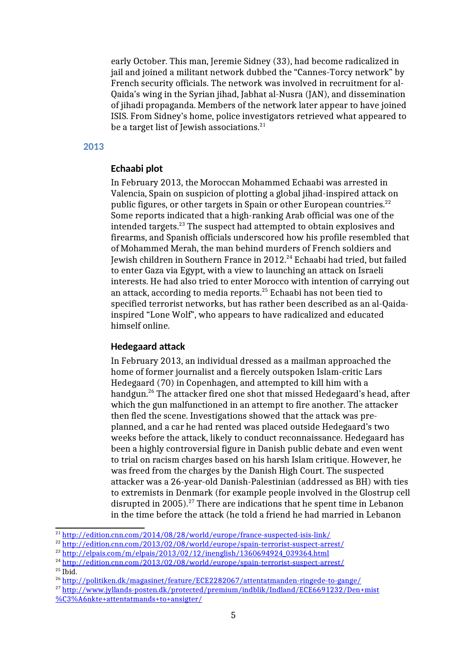early October. This man, Jeremie Sidney (33), had become radicalized in jail and joined a militant network dubbed the "Cannes-Torcy network" by French security officials. The network was involved in recruitment for al-Qaida's wing in the Syrian jihad, Jabhat al-Nusra (JAN), and dissemination of jihadi propaganda. Members of the network later appear to have joined ISIS. From Sidney's home, police investigators retrieved what appeared to be a target list of Jewish associations.<sup>21</sup>

#### **2013**

## **Echaabi plot**

In February 2013, the Moroccan Mohammed Echaabi was arrested in Valencia, Spain on suspicion of plotting a global jihad-inspired attack on public figures, or other targets in Spain or other European countries. $^{22}$ Some reports indicated that a high-ranking Arab official was one of the intended targets.<sup>23</sup> The suspect had attempted to obtain explosives and firearms, and Spanish officials underscored how his profile resembled that of Mohammed Merah, the man behind murders of French soldiers and Jewish children in Southern France in 2012.<sup>24</sup> Echaabi had tried, but failed to enter Gaza via Egypt, with a view to launching an attack on Israeli interests. He had also tried to enter Morocco with intention of carrying out an attack, according to media reports.<sup>25</sup> Echaabi has not been tied to specified terrorist networks, but has rather been described as an al-Qaidainspired "Lone Wolf", who appears to have radicalized and educated himself online.

#### **Hedegaard attack**

In February 2013, an individual dressed as a mailman approached the home of former journalist and a fiercely outspoken Islam-critic Lars Hedegaard (70) in Copenhagen, and attempted to kill him with a handgun.<sup>26</sup> The attacker fired one shot that missed Hedegaard's head, after which the gun malfunctioned in an attempt to fire another. The attacker then fled the scene. Investigations showed that the attack was preplanned, and a car he had rented was placed outside Hedegaard's two weeks before the attack, likely to conduct reconnaissance. Hedegaard has been a highly controversial figure in Danish public debate and even went to trial on racism charges based on his harsh Islam critique. However, he was freed from the charges by the Danish High Court. The suspected attacker was a 26-year-old Danish-Palestinian (addressed as BH) with ties to extremists in Denmark (for example people involved in the Glostrup cell disrupted in 2005).<sup>27</sup> There are indications that he spent time in Lebanon in the time before the attack (he told a friend he had married in Lebanon

<sup>21</sup> http://edition.cnn.com/2014/08/28/world/europe/france-suspected-isis-link/

<sup>22</sup> http://edition.cnn.com/2013/02/08/world/europe/spain-terrorist-suspect-arrest/

 $^{23}$  http://elpais.com/m/elpais/2013/02/12/inenglish/1360694924\_039364.html

<sup>&</sup>lt;sup>24</sup> http://edition.cnn.com/2013/02/08/world/europe/spain-terrorist-suspect-arrest/

 $25$  Ibid.

<sup>26</sup> http://politiken.dk/magasinet/feature/ECE2282067/attentatmanden-ringede-to-gange/

<sup>&</sup>lt;sup>27</sup> http://www.jyllands-posten.dk/protected/premium/indblik/Indland/ECE6691232/Den+mist %C3%A6nkte+attentatmands+to+ansigter/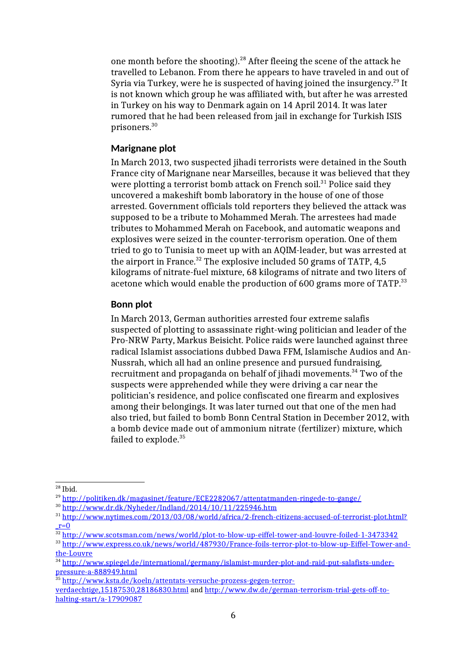one month before the shooting).<sup>28</sup> After fleeing the scene of the attack he travelled to Lebanon. From there he appears to have traveled in and out of Syria via Turkey, were he is suspected of having joined the insurgency.<sup>29</sup> It is not known which group he was affiliated with, but after he was arrested in Turkey on his way to Denmark again on 14 April 2014. It was later rumored that he had been released from jail in exchange for Turkish ISIS prisoners.<sup>30</sup>

### **Marignane plot**

In March 2013, two suspected jihadi terrorists were detained in the South France city of Marignane near Marseilles, because it was believed that they were plotting a terrorist bomb attack on French soil. $31$  Police said they uncovered a makeshift bomb laboratory in the house of one of those arrested. Government officials told reporters they believed the attack was supposed to be a tribute to Mohammed Merah. The arrestees had made tributes to Mohammed Merah on Facebook, and automatic weapons and explosives were seized in the counter-terrorism operation. One of them tried to go to Tunisia to meet up with an AQIM-leader, but was arrested at the airport in France.<sup>32</sup> The explosive included 50 grams of TATP,  $4,5$ kilograms of nitrate-fuel mixture, 68 kilograms of nitrate and two liters of acetone which would enable the production of 600 grams more of TATP.<sup>33</sup>

## **Bonn plot**

In March 2013, German authorities arrested four extreme salafis suspected of plotting to assassinate right-wing politician and leader of the Pro-NRW Party, Markus Beisicht. Police raids were launched against three radical Islamist associations dubbed Dawa FFM, Islamische Audios and An-Nussrah, which all had an online presence and pursued fundraising, recruitment and propaganda on behalf of jihadi movements.<sup>34</sup> Two of the suspects were apprehended while they were driving a car near the politician's residence, and police confiscated one firearm and explosives among their belongings. It was later turned out that one of the men had also tried, but failed to bomb Bonn Central Station in December 2012, with a bomb device made out of ammonium nitrate (fertilizer) mixture, which failed to explode.<sup>35</sup>

 $28$  Ibid.

<sup>29</sup> http://politiken.dk/magasinet/feature/ECE2282067/attentatmanden-ringede-to-gange/

<sup>30</sup> http://www.dr.dk/Nyheder/Indland/2014/10/11/225946.htm

<sup>&</sup>lt;sup>31</sup> http://www.nytimes.com/2013/03/08/world/africa/2-french-citizens-accused-of-terrorist-plot.html?  $r=0$ 

 $\frac{32 \text{ http://www.scostsman.com/news/world/plot-to-blow-up-eiffel-tower-and-louvre-foiled-1-3473342}}{32 \text{ http://www.scostsman.com/news/world/plot-to-blow-up-eiffel-tower-and-louvre-foiled-1-3473342}}$ 

<sup>33</sup> http://www.express.co.uk/news/world/487930/France-foils-terror-plot-to-blow-up-Eiffel-Tower-andthe-Louvre

<sup>34</sup> http://www.spiegel.de/international/germany/islamist-murder-plot-and-raid-put-salafists-underpressure-a-888949.html

<sup>&</sup>lt;sup>35</sup> http://www.ksta.de/koeln/attentats-versuche-prozess-gegen-terror-

verdaechtige,15187530,28186830.html and http://www.dw.de/german-terrorism-trial-gets-off-tohalting-start/a-17909087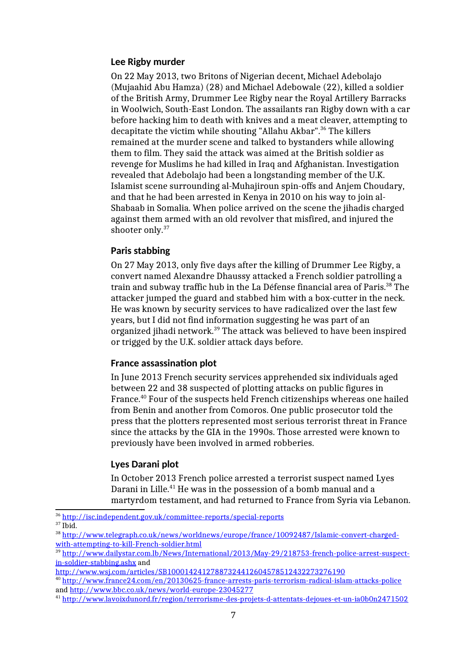## **Lee Rigby murder**

On 22 May 2013, two Britons of Nigerian decent, Michael Adebolajo (Mujaahid Abu Hamza) (28) and Michael Adebowale (22), killed a soldier of the British Army, Drummer Lee Rigby near the Royal Artillery Barracks in Woolwich, South-East London. The assailants ran Rigby down with a car before hacking him to death with knives and a meat cleaver, attempting to decapitate the victim while shouting "Allahu Akbar".<sup>36</sup> The killers remained at the murder scene and talked to bystanders while allowing them to film. They said the attack was aimed at the British soldier as revenge for Muslims he had killed in Iraq and Afghanistan. Investigation revealed that Adebolajo had been a longstanding member of the U.K. Islamist scene surrounding al-Muhajiroun spin-offs and Anjem Choudary, and that he had been arrested in Kenya in 2010 on his way to join al-Shabaab in Somalia. When police arrived on the scene the jihadis charged against them armed with an old revolver that misfired, and injured the shooter only.<sup>37</sup>

### **Paris stabbing**

On 27 May 2013, only five days after the killing of Drummer Lee Rigby, a convert named Alexandre Dhaussy attacked a French soldier patrolling a train and subway traffic hub in the La Défense financial area of Paris.<sup>38</sup> The attacker jumped the guard and stabbed him with a box-cutter in the neck. He was known by security services to have radicalized over the last few years, but I did not find information suggesting he was part of an organized jihadi network.<sup>39</sup> The attack was believed to have been inspired or trigged by the U.K. soldier attack days before.

#### **France assassination plot**

In June 2013 French security services apprehended six individuals aged between 22 and 38 suspected of plotting attacks on public figures in France.<sup>40</sup> Four of the suspects held French citizenships whereas one hailed from Benin and another from Comoros. One public prosecutor told the press that the plotters represented most serious terrorist threat in France since the attacks by the GIA in the 1990s. Those arrested were known to previously have been involved in armed robberies.

#### **Lyes Darani plot**

In October 2013 French police arrested a terrorist suspect named Lyes Darani in Lille.<sup>41</sup> He was in the possession of a bomb manual and a martyrdom testament, and had returned to France from Syria via Lebanon.

http://www.wsj.com/articles/SB10001424127887324412604578512432273276190

<sup>36</sup> http://isc.independent.gov.uk/committee-reports/special-reports

 $37$  Ibid.

<sup>38</sup> http://www.telegraph.co.uk/news/worldnews/europe/france/10092487/Islamic-convert-chargedwith-attempting-to-kill-French-soldier.html

<sup>39</sup> http://www.dailystar.com.lb/News/International/2013/May-29/218753-french-police-arrest-suspectin-soldier-stabbing.ashx and

<sup>40</sup> http://www.france24.com/en/20130625-france-arrests-paris-terrorism-radical-islam-attacks-police and http://www.bbc.co.uk/news/world-europe-23045277

<sup>41</sup> http://www.lavoixdunord.fr/region/terrorisme-des-projets-d-attentats-dejoues-et-un-ia0b0n2471502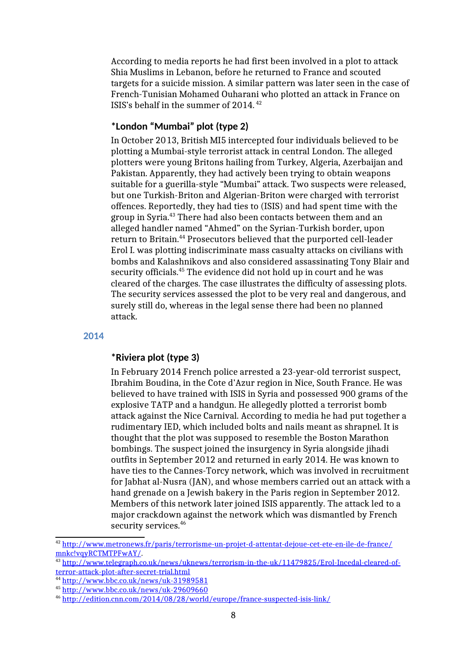According to media reports he had first been involved in a plot to attack Shia Muslims in Lebanon, before he returned to France and scouted targets for a suicide mission. A similar pattern was later seen in the case of French-Tunisian Mohamed Ouharani who plotted an attack in France on ISIS's behalf in the summer of 2014. <sup>42</sup>

## **\*London "Mumbai" plot (type 2)**

In October 2013, British MI5 intercepted four individuals believed to be plotting a Mumbai-style terrorist attack in central London. The alleged plotters were young Britons hailing from Turkey, Algeria, Azerbaijan and Pakistan. Apparently, they had actively been trying to obtain weapons suitable for a guerilla-style "Mumbai" attack. Two suspects were released, but one Turkish-Briton and Algerian-Briton were charged with terrorist offences. Reportedly, they had ties to (ISIS) and had spent time with the group in Syria.<sup>43</sup> There had also been contacts between them and an alleged handler named "Ahmed" on the Syrian-Turkish border, upon return to Britain.<sup>44</sup> Prosecutors believed that the purported cell-leader Erol I. was plotting indiscriminate mass casualty attacks on civilians with bombs and Kalashnikovs and also considered assassinating Tony Blair and security officials.<sup>45</sup> The evidence did not hold up in court and he was cleared of the charges. The case illustrates the difficulty of assessing plots. The security services assessed the plot to be very real and dangerous, and surely still do, whereas in the legal sense there had been no planned attack.

#### **2014**

## **\*Riviera plot (type 3)**

In February 2014 French police arrested a 23-year-old terrorist suspect, Ibrahim Boudina, in the Cote d'Azur region in Nice, South France. He was believed to have trained with ISIS in Syria and possessed 900 grams of the explosive TATP and a handgun. He allegedly plotted a terrorist bomb attack against the Nice Carnival. According to media he had put together a rudimentary IED, which included bolts and nails meant as shrapnel. It is thought that the plot was supposed to resemble the Boston Marathon bombings. The suspect joined the insurgency in Syria alongside jihadi outfits in September 2012 and returned in early 2014. He was known to have ties to the Cannes-Torcy network, which was involved in recruitment for Jabhat al-Nusra (JAN), and whose members carried out an attack with a hand grenade on a Jewish bakery in the Paris region in September 2012. Members of this network later joined ISIS apparently. The attack led to a major crackdown against the network which was dismantled by French security services.<sup>46</sup>

<sup>42</sup> http://www.metronews.fr/paris/terrorisme-un-projet-d-attentat-dejoue-cet-ete-en-ile-de-france/ mnkc!vqyRCTMTPFwAY/.

<sup>43</sup> http://www.telegraph.co.uk/news/uknews/terrorism-in-the-uk/11479825/Erol-Incedal-cleared-ofterror-attack-plot-after-secret-trial.html

<sup>44</sup> http://www.bbc.co.uk/news/uk-31989581

<sup>45</sup> http://www.bbc.co.uk/news/uk-29609660

<sup>46</sup> http://edition.cnn.com/2014/08/28/world/europe/france-suspected-isis-link/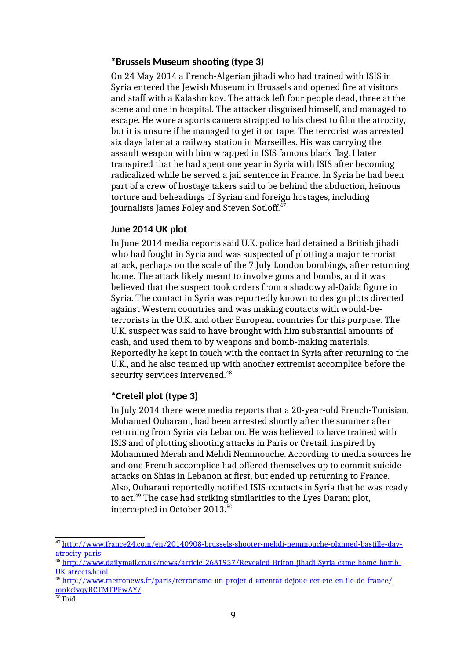## **\*Brussels Museum shooting (type 3)**

On 24 May 2014 a French-Algerian jihadi who had trained with ISIS in Syria entered the Jewish Museum in Brussels and opened fire at visitors and staff with a Kalashnikov. The attack left four people dead, three at the scene and one in hospital. The attacker disguised himself, and managed to escape. He wore a sports camera strapped to his chest to film the atrocity, but it is unsure if he managed to get it on tape. The terrorist was arrested six days later at a railway station in Marseilles. His was carrying the assault weapon with him wrapped in ISIS famous black flag. I later transpired that he had spent one year in Syria with ISIS after becoming radicalized while he served a jail sentence in France. In Syria he had been part of a crew of hostage takers said to be behind the abduction, heinous torture and beheadings of Syrian and foreign hostages, including journalists James Foley and Steven Sotloff.<sup>47</sup>

### **June 2014 UK plot**

In June 2014 media reports said U.K. police had detained a British jihadi who had fought in Syria and was suspected of plotting a major terrorist attack, perhaps on the scale of the 7 July London bombings, after returning home. The attack likely meant to involve guns and bombs, and it was believed that the suspect took orders from a shadowy al-Qaida figure in Syria. The contact in Syria was reportedly known to design plots directed against Western countries and was making contacts with would-beterrorists in the U.K. and other European countries for this purpose. The U.K. suspect was said to have brought with him substantial amounts of cash, and used them to by weapons and bomb-making materials. Reportedly he kept in touch with the contact in Syria after returning to the U.K., and he also teamed up with another extremist accomplice before the security services intervened.<sup>48</sup>

# **\*Creteil plot (type 3)**

In July 2014 there were media reports that a 20-year-old French-Tunisian, Mohamed Ouharani, had been arrested shortly after the summer after returning from Syria via Lebanon. He was believed to have trained with ISIS and of plotting shooting attacks in Paris or Cretail, inspired by Mohammed Merah and Mehdi Nemmouche. According to media sources he and one French accomplice had offered themselves up to commit suicide attacks on Shias in Lebanon at first, but ended up returning to France. Also, Ouharani reportedly notified ISIS-contacts in Syria that he was ready to act.<sup>49</sup> The case had striking similarities to the Lyes Darani plot, intercepted in October 2013.<sup>50</sup>

<sup>47</sup> http://www.france24.com/en/20140908-brussels-shooter-mehdi-nemmouche-planned-bastille-dayatrocity-paris

<sup>48</sup> http://www.dailymail.co.uk/news/article-2681957/Revealed-Briton-jihadi-Syria-came-home-bomb-UK-streets.html

<sup>49</sup> http://www.metronews.fr/paris/terrorisme-un-projet-d-attentat-dejoue-cet-ete-en-ile-de-france/ mnkc!vqyRCTMTPFwAY/.

 $\rm ^{50}$  Ibid.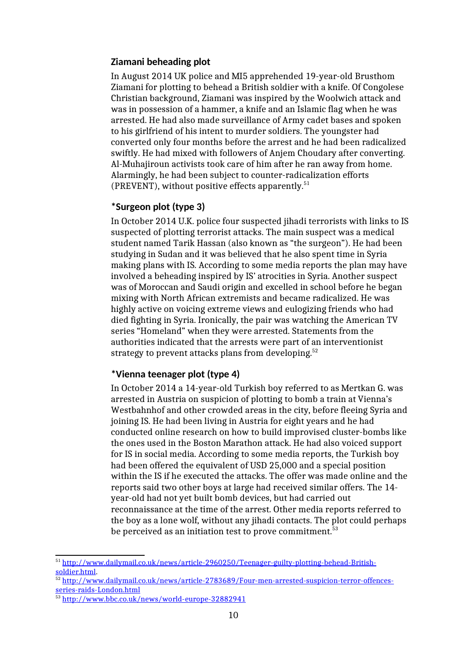## **Ziamani beheading plot**

In August 2014 UK police and MI5 apprehended 19-year-old Brusthom Ziamani for plotting to behead a British soldier with a knife. Of Congolese Christian background, Ziamani was inspired by the Woolwich attack and was in possession of a hammer, a knife and an Islamic flag when he was arrested. He had also made surveillance of Army cadet bases and spoken to his girlfriend of his intent to murder soldiers. The youngster had converted only four months before the arrest and he had been radicalized swiftly. He had mixed with followers of Anjem Choudary after converting. Al-Muhajiroun activists took care of him after he ran away from home. Alarmingly, he had been subject to counter-radicalization efforts (PREVENT), without positive effects apparently. $51$ 

## **\*Surgeon plot (type 3)**

In October 2014 U.K. police four suspected jihadi terrorists with links to IS suspected of plotting terrorist attacks. The main suspect was a medical student named Tarik Hassan (also known as "the surgeon"). He had been studying in Sudan and it was believed that he also spent time in Syria making plans with IS. According to some media reports the plan may have involved a beheading inspired by IS' atrocities in Syria. Another suspect was of Moroccan and Saudi origin and excelled in school before he began mixing with North African extremists and became radicalized. He was highly active on voicing extreme views and eulogizing friends who had died fighting in Syria. Ironically, the pair was watching the American TV series "Homeland" when they were arrested. Statements from the authorities indicated that the arrests were part of an interventionist strategy to prevent attacks plans from developing.<sup>52</sup>

## **\*Vienna teenager plot (type 4)**

In October 2014 a 14-year-old Turkish boy referred to as Mertkan G. was arrested in Austria on suspicion of plotting to bomb a train at Vienna's Westbahnhof and other crowded areas in the city, before fleeing Syria and joining IS. He had been living in Austria for eight years and he had conducted online research on how to build improvised cluster-bombs like the ones used in the Boston Marathon attack. He had also voiced support for IS in social media. According to some media reports, the Turkish boy had been offered the equivalent of USD 25,000 and a special position within the IS if he executed the attacks. The offer was made online and the reports said two other boys at large had received similar offers. The 14 year-old had not yet built bomb devices, but had carried out reconnaissance at the time of the arrest. Other media reports referred to the boy as a lone wolf, without any jihadi contacts. The plot could perhaps be perceived as an initiation test to prove commitment.<sup>53</sup>

<sup>51</sup> http://www.dailymail.co.uk/news/article-2960250/Teenager-guilty-plotting-behead-Britishsoldier.html.

<sup>52</sup> http://www.dailymail.co.uk/news/article-2783689/Four-men-arrested-suspicion-terror-offencesseries-raids-London.html

<sup>53</sup> http://www.bbc.co.uk/news/world-europe-32882941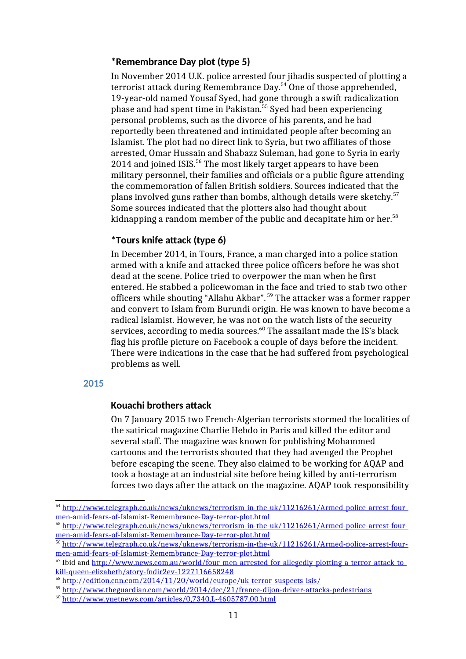### **\*Remembrance Day plot (type 5)**

In November 2014 U.K. police arrested four jihadis suspected of plotting a terrorist attack during Remembrance Day.<sup>54</sup> One of those apprehended, 19-year-old named Yousaf Syed, had gone through a swift radicalization phase and had spent time in Pakistan.<sup>55</sup> Syed had been experiencing personal problems, such as the divorce of his parents, and he had reportedly been threatened and intimidated people after becoming an Islamist. The plot had no direct link to Syria, but two affiliates of those arrested, Omar Hussain and Shabazz Suleman, had gone to Syria in early 2014 and joined ISIS.<sup>56</sup> The most likely target appears to have been military personnel, their families and officials or a public figure attending the commemoration of fallen British soldiers. Sources indicated that the plans involved guns rather than bombs, although details were sketchy.<sup>57</sup> Some sources indicated that the plotters also had thought about kidnapping a random member of the public and decapitate him or her.<sup>58</sup>

## **\*Tours knife attack (type 6)**

In December 2014, in Tours, France, a man charged into a police station armed with a knife and attacked three police officers before he was shot dead at the scene. Police tried to overpower the man when he first entered. He stabbed a policewoman in the face and tried to stab two other officers while shouting "Allahu Akbar". <sup>59</sup> The attacker was a former rapper and convert to Islam from Burundi origin. He was known to have become a radical Islamist. However, he was not on the watch lists of the security services, according to media sources.<sup>60</sup> The assailant made the IS's black flag his profile picture on Facebook a couple of days before the incident. There were indications in the case that he had suffered from psychological problems as well.

### **2015**

#### **Kouachi brothers attack**

On 7 January 2015 two French-Algerian terrorists stormed the localities of the satirical magazine Charlie Hebdo in Paris and killed the editor and several staff. The magazine was known for publishing Mohammed cartoons and the terrorists shouted that they had avenged the Prophet before escaping the scene. They also claimed to be working for AQAP and took a hostage at an industrial site before being killed by anti-terrorism forces two days after the attack on the magazine. AQAP took responsibility

<sup>54</sup> http://www.telegraph.co.uk/news/uknews/terrorism-in-the-uk/11216261/Armed-police-arrest-fourmen-amid-fears-of-Islamist-Remembrance-Day-terror-plot.html

<sup>55</sup> http://www.telegraph.co.uk/news/uknews/terrorism-in-the-uk/11216261/Armed-police-arrest-fourmen-amid-fears-of-Islamist-Remembrance-Day-terror-plot.html

<sup>56</sup> http://www.telegraph.co.uk/news/uknews/terrorism-in-the-uk/11216261/Armed-police-arrest-fourmen-amid-fears-of-Islamist-Remembrance-Day-terror-plot.html

<sup>57</sup> Ibid and http://www.news.com.au/world/four-men-arrested-for-allegedly-plotting-a-terror-attack-tokill-queen-elizabeth/story-fndir2ev-1227116658248

<sup>58</sup> http://edition.cnn.com/2014/11/20/world/europe/uk-terror-suspects-isis/

<sup>&</sup>lt;sup>59</sup> http://www.theguardian.com/world/2014/dec/21/france-dijon-driver-attacks-pedestrians

<sup>60</sup> http://www.ynetnews.com/articles/0,7340,L-4605787,00.html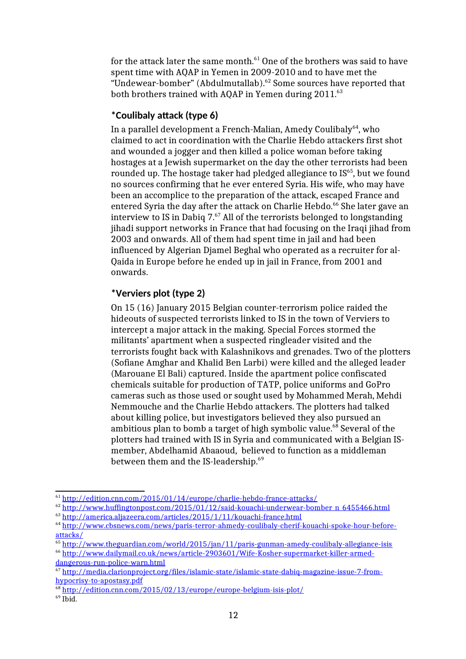for the attack later the same month. $^{61}$  One of the brothers was said to have spent time with AQAP in Yemen in 2009-2010 and to have met the "Undewear-bomber" (Abdulmutallab).<sup>62</sup> Some sources have reported that both brothers trained with AQAP in Yemen during 2011.<sup>63</sup>

## **\*Coulibaly attack (type 6)**

In a parallel development a French-Malian, Amedy Coulibaly<sup>64</sup>, who claimed to act in coordination with the Charlie Hebdo attackers first shot and wounded a jogger and then killed a police woman before taking hostages at a Jewish supermarket on the day the other terrorists had been rounded up. The hostage taker had pledged allegiance to IS<sup>65</sup>, but we found no sources confirming that he ever entered Syria. His wife, who may have been an accomplice to the preparation of the attack, escaped France and entered Syria the day after the attack on Charlie Hebdo.<sup>66</sup> She later gave an interview to IS in Dabiq  $7.^{67}$  All of the terrorists belonged to longstanding jihadi support networks in France that had focusing on the Iraqi jihad from 2003 and onwards. All of them had spent time in jail and had been influenced by Algerian Djamel Beghal who operated as a recruiter for al-Qaida in Europe before he ended up in jail in France, from 2001 and onwards.

## **\*Verviers plot (type 2)**

On 15 (16) January 2015 Belgian counter-terrorism police raided the hideouts of suspected terrorists linked to IS in the town of Verviers to intercept a major attack in the making. Special Forces stormed the militants' apartment when a suspected ringleader visited and the terrorists fought back with Kalashnikovs and grenades. Two of the plotters (Sofiane Amghar and Khalid Ben Larbi) were killed and the alleged leader (Marouane El Bali) captured. Inside the apartment police confiscated chemicals suitable for production of TATP, police uniforms and GoPro cameras such as those used or sought used by Mohammed Merah, Mehdi Nemmouche and the Charlie Hebdo attackers. The plotters had talked about killing police, but investigators believed they also pursued an ambitious plan to bomb a target of high symbolic value. $68$  Several of the plotters had trained with IS in Syria and communicated with a Belgian ISmember, Abdelhamid Abaaoud, believed to function as a middleman between them and the IS-leadership.<sup>69</sup>

<sup>61</sup> http://edition.cnn.com/2015/01/14/europe/charlie-hebdo-france-attacks/

<sup>&</sup>lt;sup>62</sup> http://www.huffingtonpost.com/2015/01/12/said-kouachi-underwear-bomber\_n\_6455466.html

<sup>63</sup> http://america.aljazeera.com/articles/2015/1/11/kouachi-france.html

<sup>64</sup> http://www.cbsnews.com/news/paris-terror-ahmedy-coulibaly-cherif-kouachi-spoke-hour-beforeattacks/

 $\frac{65 \text{ http://www.theguardian.com/world/2015/ian/11/paris-gunman-amedy-coulibaly-allegiance-isis}{}$ 

<sup>66</sup> http://www.dailymail.co.uk/news/article-2903601/Wife-Kosher-supermarket-killer-armeddangerous-run-police-warn.html

<sup>67</sup> http://media.clarionproject.org/files/islamic-state/islamic-state-dabiq-magazine-issue-7-fromhypocrisy-to-apostasy.pdf

<sup>68</sup> http://edition.cnn.com/2015/02/13/europe/europe-belgium-isis-plot/

 $^{69}$  Ibid.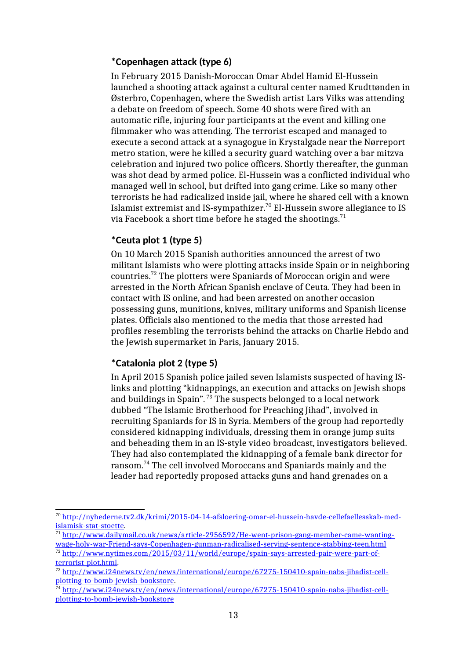## **\*Copenhagen attack (type 6)**

In February 2015 Danish-Moroccan Omar Abdel Hamid El-Hussein launched a shooting attack against a cultural center named Krudttønden in Østerbro, Copenhagen, where the Swedish artist Lars Vilks was attending a debate on freedom of speech. Some 40 shots were fired with an automatic rifle, injuring four participants at the event and killing one filmmaker who was attending. The terrorist escaped and managed to execute a second attack at a synagogue in Krystalgade near the Nørreport metro station, were he killed a security guard watching over a bar mitzva celebration and injured two police officers. Shortly thereafter, the gunman was shot dead by armed police. El-Hussein was a conflicted individual who managed well in school, but drifted into gang crime. Like so many other terrorists he had radicalized inside jail, where he shared cell with a known Islamist extremist and IS-sympathizer.<sup>70</sup> El-Hussein swore allegiance to IS via Facebook a short time before he staged the shootings.<sup>71</sup>

# **\*Ceuta plot 1 (type 5)**

On 10 March 2015 Spanish authorities announced the arrest of two militant Islamists who were plotting attacks inside Spain or in neighboring countries.<sup>72</sup> The plotters were Spaniards of Moroccan origin and were arrested in the North African Spanish enclave of Ceuta. They had been in contact with IS online, and had been arrested on another occasion possessing guns, munitions, knives, military uniforms and Spanish license plates. Officials also mentioned to the media that those arrested had profiles resembling the terrorists behind the attacks on Charlie Hebdo and the Jewish supermarket in Paris, January 2015.

## **\*Catalonia plot 2 (type 5)**

In April 2015 Spanish police jailed seven Islamists suspected of having ISlinks and plotting "kidnappings, an execution and attacks on Jewish shops and buildings in Spain". <sup>73</sup> The suspects belonged to a local network dubbed "The Islamic Brotherhood for Preaching Jihad", involved in recruiting Spaniards for IS in Syria. Members of the group had reportedly considered kidnapping individuals, dressing them in orange jump suits and beheading them in an IS-style video broadcast, investigators believed. They had also contemplated the kidnapping of a female bank director for ransom.<sup>74</sup> The cell involved Moroccans and Spaniards mainly and the leader had reportedly proposed attacks guns and hand grenades on a

<sup>70</sup> http://nyhederne.tv2.dk/krimi/2015-04-14-afsloering-omar-el-hussein-havde-cellefaellesskab-medislamisk-stat-stoette.

<sup>71</sup> http://www.dailymail.co.uk/news/article-2956592/He-went-prison-gang-member-came-wantingwage-holy-war-Friend-says-Copenhagen-gunman-radicalised-serving-sentence-stabbing-teen.html

 $\frac{72 \text{ http://www.nvtimes.com/2015/03/11/world/europe/spain-savs-arrested-pair-were-part-of-} }{2015/03/11/world/europe/spain-savs-arrested-pair-were-part-of-}$ terrorist-plot.html.

<sup>73</sup> http://www.i24news.tv/en/news/international/europe/67275-150410-spain-nabs-jihadist-cellplotting-to-bomb-jewish-bookstore.

<sup>&</sup>lt;sup>74</sup> http://www.i24news.tv/en/news/international/europe/67275-150410-spain-nabs-jihadist-cellplotting-to-bomb-jewish-bookstore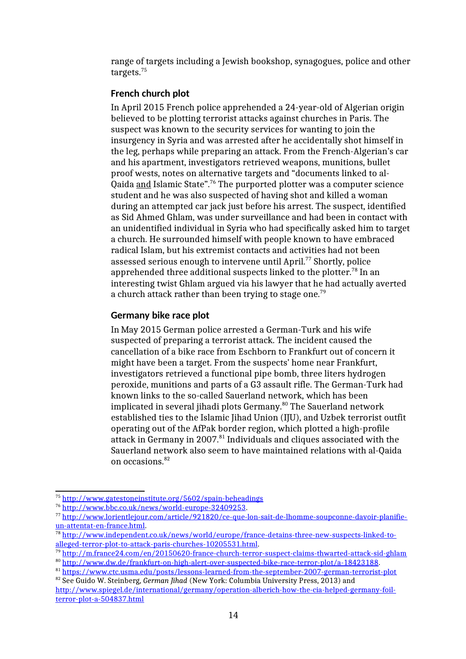range of targets including a Jewish bookshop, synagogues, police and other targets.<sup>75</sup>

## **French church plot**

In April 2015 French police apprehended a 24-year-old of Algerian origin believed to be plotting terrorist attacks against churches in Paris. The suspect was known to the security services for wanting to join the insurgency in Syria and was arrested after he accidentally shot himself in the leg, perhaps while preparing an attack. From the French-Algerian's car and his apartment, investigators retrieved weapons, munitions, bullet proof wests, notes on alternative targets and "documents linked to al-Qaida and Islamic State".<sup>76</sup> The purported plotter was a computer science student and he was also suspected of having shot and killed a woman during an attempted car jack just before his arrest. The suspect, identified as Sid Ahmed Ghlam, was under surveillance and had been in contact with an unidentified individual in Syria who had specifically asked him to target a church. He surrounded himself with people known to have embraced radical Islam, but his extremist contacts and activities had not been assessed serious enough to intervene until April.<sup>77</sup> Shortly, police apprehended three additional suspects linked to the plotter.<sup>78</sup> In an interesting twist Ghlam argued via his lawyer that he had actually averted a church attack rather than been trying to stage one.<sup>79</sup>

## **Germany bike race plot**

In May 2015 German police arrested a German-Turk and his wife suspected of preparing a terrorist attack. The incident caused the cancellation of a bike race from Eschborn to Frankfurt out of concern it might have been a target. From the suspects' home near Frankfurt, investigators retrieved a functional pipe bomb, three liters hydrogen peroxide, munitions and parts of a G3 assault rifle. The German-Turk had known links to the so-called Sauerland network, which has been implicated in several jihadi plots Germany.<sup>80</sup> The Sauerland network established ties to the Islamic Jihad Union (IJU), and Uzbek terrorist outfit operating out of the AfPak border region, which plotted a high-profile attack in Germany in 2007.<sup>81</sup> Individuals and cliques associated with the Sauerland network also seem to have maintained relations with al-Qaida on occasions.<sup>82</sup>

<sup>75</sup> http://www.gatestoneinstitute.org/5602/spain-beheadings

<sup>76</sup> http://www.bbc.co.uk/news/world-europe-32409253.

<sup>77</sup> http://www.lorientlejour.com/article/921820/ce-que-lon-sait-de-lhomme-soupconne-davoir-planifieun-attentat-en-france.html.

<sup>78</sup> http://www.independent.co.uk/news/world/europe/france-detains-three-new-suspects-linked-toalleged-terror-plot-to-attack-paris-churches-10205531.html.

 $\frac{79}{2}$ http://m.france24.com/en/20150620-france-church-terror-suspect-claims-thwarted-attack-sid-ghlam

<sup>80</sup> http://www.dw.de/frankfurt-on-high-alert-over-suspected-bike-race-terror-plot/a-18423188.

<sup>81</sup> https://www.ctc.usma.edu/posts/lessons-learned-from-the-september-2007-german-terrorist-plot <sup>82</sup> See Guido W. Steinberg, *German Jihad* (New York: Columbia University Press, 2013) and

http://www.spiegel.de/international/germany/operation-alberich-how-the-cia-helped-germany-foilterror-plot-a-504837.html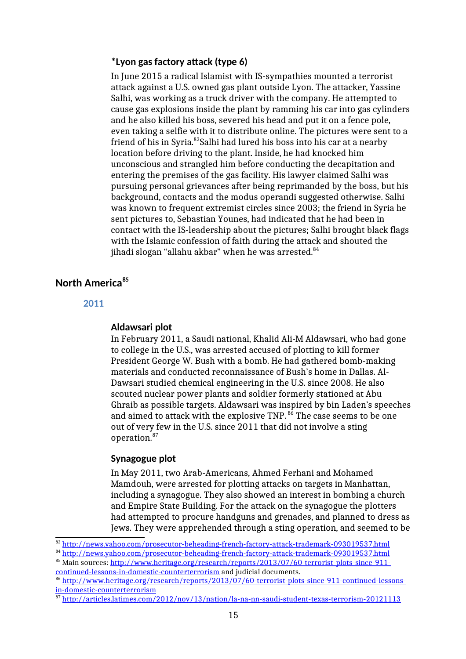### **\*Lyon gas factory attack (type 6)**

In June 2015 a radical Islamist with IS-sympathies mounted a terrorist attack against a U.S. owned gas plant outside Lyon. The attacker, Yassine Salhi, was working as a truck driver with the company. He attempted to cause gas explosions inside the plant by ramming his car into gas cylinders and he also killed his boss, severed his head and put it on a fence pole, even taking a selfie with it to distribute online. The pictures were sent to a friend of his in Syria.<sup>83</sup>Salhi had lured his boss into his car at a nearby location before driving to the plant. Inside, he had knocked him unconscious and strangled him before conducting the decapitation and entering the premises of the gas facility. His lawyer claimed Salhi was pursuing personal grievances after being reprimanded by the boss, but his background, contacts and the modus operandi suggested otherwise. Salhi was known to frequent extremist circles since 2003; the friend in Syria he sent pictures to, Sebastian Younes, had indicated that he had been in contact with the IS-leadership about the pictures; Salhi brought black flags with the Islamic confession of faith during the attack and shouted the jihadi slogan "allahu akbar" when he was arrested. $84$ 

## **North America<sup>85</sup>**

#### **2011**

#### **Aldawsari plot**

In February 2011, a Saudi national, Khalid Ali-M Aldawsari, who had gone to college in the U.S., was arrested accused of plotting to kill former President George W. Bush with a bomb. He had gathered bomb-making materials and conducted reconnaissance of Bush's home in Dallas. Al-Dawsari studied chemical engineering in the U.S. since 2008. He also scouted nuclear power plants and soldier formerly stationed at Abu Ghraib as possible targets. Aldawsari was inspired by bin Laden's speeches and aimed to attack with the explosive TNP.<sup>86</sup> The case seems to be one out of very few in the U.S. since 2011 that did not involve a sting operation.<sup>87</sup>

#### **Synagogue plot**

In May 2011, two Arab-Americans, Ahmed Ferhani and Mohamed Mamdouh, were arrested for plotting attacks on targets in Manhattan, including a synagogue. They also showed an interest in bombing a church and Empire State Building. For the attack on the synagogue the plotters had attempted to procure handguns and grenades, and planned to dress as Jews. They were apprehended through a sting operation, and seemed to be

<sup>83</sup> http://news.yahoo.com/prosecutor-beheading-french-factory-attack-trademark-093019537.html

<sup>84</sup> http://news.yahoo.com/prosecutor-beheading-french-factory-attack-trademark-093019537.html

<sup>85</sup> Main sources: http://www.heritage.org/research/reports/2013/07/60-terrorist-plots-since-911 continued-lessons-in-domestic-counterterrorism and judicial documents.

<sup>86</sup> http://www.heritage.org/research/reports/2013/07/60-terrorist-plots-since-911-continued-lessonsin-domestic-counterterrorism

<sup>87</sup> http://articles.latimes.com/2012/nov/13/nation/la-na-nn-saudi-student-texas-terrorism-20121113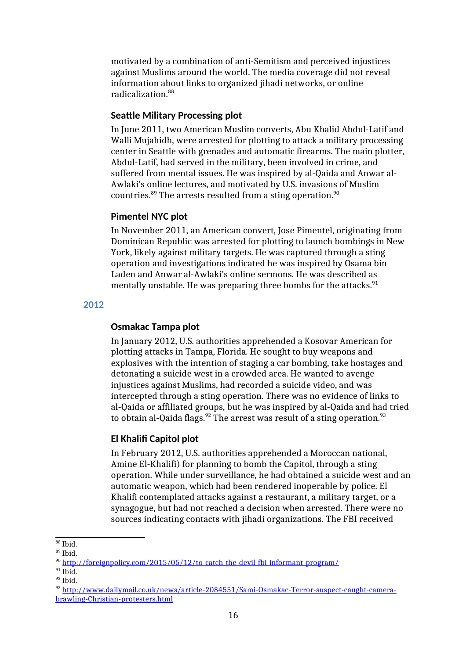motivated by a combination of anti-Semitism and perceived injustices against Muslims around the world. The media coverage did not reveal information about links to organized jihadi networks, or online radicalization.<sup>88</sup>

### **Seattle Military Processing plot**

In June 2011, two American Muslim converts, Abu Khalid Abdul-Latif and Walli Mujahidh, were arrested for plotting to attack a military processing center in Seattle with grenades and automatic firearms. The main plotter, Abdul-Latif, had served in the military, been involved in crime, and suffered from mental issues. He was inspired by al-Qaida and Anwar al-Awlaki's online lectures, and motivated by U.S. invasions of Muslim countries.<sup>89</sup> The arrests resulted from a sting operation.<sup>90</sup>

### **Pimentel NYC plot**

In November 2011, an American convert, Jose Pimentel, originating from Dominican Republic was arrested for plotting to launch bombings in New York, likely against military targets. He was captured through a sting operation and investigations indicated he was inspired by Osama bin Laden and Anwar al-Awlaki's online sermons. He was described as mentally unstable. He was preparing three bombs for the attacks. $91$ 

### **2012**

#### **Osmakac Tampa plot**

In January 2012, U.S. authorities apprehended a Kosovar American for plotting attacks in Tampa, Florida. He sought to buy weapons and explosives with the intention of staging a car bombing, take hostages and detonating a suicide west in a crowded area. He wanted to avenge injustices against Muslims, had recorded a suicide video, and was intercepted through a sting operation. There was no evidence of links to al-Qaida or affiliated groups, but he was inspired by al-Qaida and had tried to obtain al-Qaida flags.<sup>92</sup> The arrest was result of a sting operation.<sup>93</sup>

## **El Khalifi Capitol plot**

In February 2012, U.S. authorities apprehended a Moroccan national, Amine El-Khalifi) for planning to bomb the Capitol, through a sting operation. While under surveillance, he had obtained a suicide west and an automatic weapon, which had been rendered inoperable by police. El Khalifi contemplated attacks against a restaurant, a military target, or a synagogue, but had not reached a decision when arrested. There were no sources indicating contacts with jihadi organizations. The FBI received

<sup>88</sup> Ibid.

 $89$  Ibid.

<sup>90</sup> http://foreignpolicy.com/2015/05/12/to-catch-the-devil-fbi-informant-program/

 $91$  Ibid.

<sup>92</sup> Ibid.

<sup>93</sup> http://www.dailymail.co.uk/news/article-2084551/Sami-Osmakac-Terror-suspect-caught-camerabrawling-Christian-protesters.html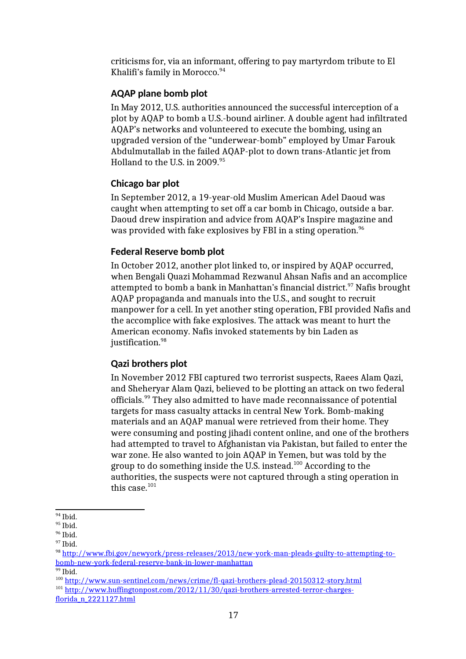criticisms for, via an informant, offering to pay martyrdom tribute to El Khalifi's family in Morocco.<sup>94</sup>

## **AQAP plane bomb plot**

In May 2012, U.S. authorities announced the successful interception of a plot by AQAP to bomb a U.S.-bound airliner. A double agent had infiltrated AQAP's networks and volunteered to execute the bombing, using an upgraded version of the "underwear-bomb" employed by Umar Farouk Abdulmutallab in the failed AQAP-plot to down trans-Atlantic jet from Holland to the U.S. in 2009.<sup>95</sup>

## **Chicago bar plot**

In September 2012, a 19-year-old Muslim American Adel Daoud was caught when attempting to set off a car bomb in Chicago, outside a bar. Daoud drew inspiration and advice from AQAP's Inspire magazine and was provided with fake explosives by FBI in a sting operation.<sup>96</sup>

## **Federal Reserve bomb plot**

In October 2012, another plot linked to, or inspired by AQAP occurred, when Bengali Quazi Mohammad Rezwanul Ahsan Nafis and an accomplice attempted to bomb a bank in Manhattan's financial district.<sup>97</sup> Nafis brought AQAP propaganda and manuals into the U.S., and sought to recruit manpower for a cell. In yet another sting operation, FBI provided Nafis and the accomplice with fake explosives. The attack was meant to hurt the American economy. Nafis invoked statements by bin Laden as justification.<sup>98</sup>

## **Qazi brothers plot**

In November 2012 FBI captured two terrorist suspects, Raees Alam Qazi, and Sheheryar Alam Qazi, believed to be plotting an attack on two federal officials.<sup>99</sup> They also admitted to have made reconnaissance of potential targets for mass casualty attacks in central New York. Bomb-making materials and an AQAP manual were retrieved from their home. They were consuming and posting jihadi content online, and one of the brothers had attempted to travel to Afghanistan via Pakistan, but failed to enter the war zone. He also wanted to join AQAP in Yemen, but was told by the group to do something inside the U.S. instead.<sup>100</sup> According to the authorities, the suspects were not captured through a sting operation in this case.<sup>101</sup>

 $94$  Ibid.

<sup>&</sup>lt;sup>95</sup> Ibid.

<sup>&</sup>lt;sup>96</sup> Ibid.

<sup>&</sup>lt;sup>97</sup> Ibid.

<sup>98</sup> http://www.fbi.gov/newyork/press-releases/2013/new-york-man-pleads-guilty-to-attempting-tobomb-new-york-federal-reserve-bank-in-lower-manhattan

 $99$  Ibid.

<sup>100</sup> http://www.sun-sentinel.com/news/crime/fl-qazi-brothers-plead-20150312-story.html

<sup>&</sup>lt;sup>101</sup> http://www.huffingtonpost.com/2012/11/30/qazi-brothers-arrested-terror-chargesflorida\_n\_2221127.html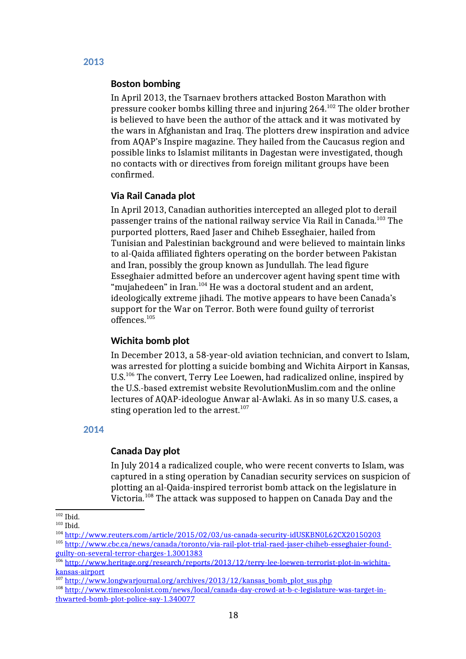# **Boston bombing**

In April 2013, the Tsarnaev brothers attacked Boston Marathon with pressure cooker bombs killing three and injuring 264.<sup>102</sup> The older brother is believed to have been the author of the attack and it was motivated by the wars in Afghanistan and Iraq. The plotters drew inspiration and advice from AQAP's Inspire magazine. They hailed from the Caucasus region and possible links to Islamist militants in Dagestan were investigated, though no contacts with or directives from foreign militant groups have been confirmed.

### **Via Rail Canada plot**

In April 2013, Canadian authorities intercepted an alleged plot to derail passenger trains of the national railway service Via Rail in Canada.<sup>103</sup> The purported plotters, Raed Jaser and Chiheb Esseghaier, hailed from Tunisian and Palestinian background and were believed to maintain links to al-Qaida affiliated fighters operating on the border between Pakistan and Iran, possibly the group known as Jundullah. The lead figure Esseghaier admitted before an undercover agent having spent time with "mujahedeen" in Iran.<sup>104</sup> He was a doctoral student and an ardent, ideologically extreme jihadi. The motive appears to have been Canada's support for the War on Terror. Both were found guilty of terrorist offences.<sup>105</sup>

#### **Wichita bomb plot**

In December 2013, a 58-year-old aviation technician, and convert to Islam, was arrested for plotting a suicide bombing and Wichita Airport in Kansas, U.S.<sup>106</sup> The convert, Terry Lee Loewen, had radicalized online, inspired by the U.S.-based extremist website RevolutionMuslim.com and the online lectures of AQAP-ideologue Anwar al-Awlaki. As in so many U.S. cases, a sting operation led to the arrest. $107$ 

#### **2014**

## **Canada Day plot**

In July 2014 a radicalized couple, who were recent converts to Islam, was captured in a sting operation by Canadian security services on suspicion of plotting an al-Qaida-inspired terrorist bomb attack on the legislature in Victoria.<sup>108</sup> The attack was supposed to happen on Canada Day and the

 $102$  Ibid.

 $103$  Ibid.

<sup>104</sup> http://www.reuters.com/article/2015/02/03/us-canada-security-idUSKBN0L62CX20150203

<sup>105</sup> http://www.cbc.ca/news/canada/toronto/via-rail-plot-trial-raed-jaser-chiheb-esseghaier-foundguilty-on-several-terror-charges-1.3001383

<sup>&</sup>lt;sup>106</sup> http://www.heritage.org/research/reports/2013/12/terry-lee-loewen-terrorist-plot-in-wichitakansas-airport

<sup>&</sup>lt;sup>107</sup> http://www.longwarjournal.org/archives/2013/12/kansas\_bomb\_plot\_sus.php

<sup>108</sup> http://www.timescolonist.com/news/local/canada-day-crowd-at-b-c-legislature-was-target-inthwarted-bomb-plot-police-say-1.340077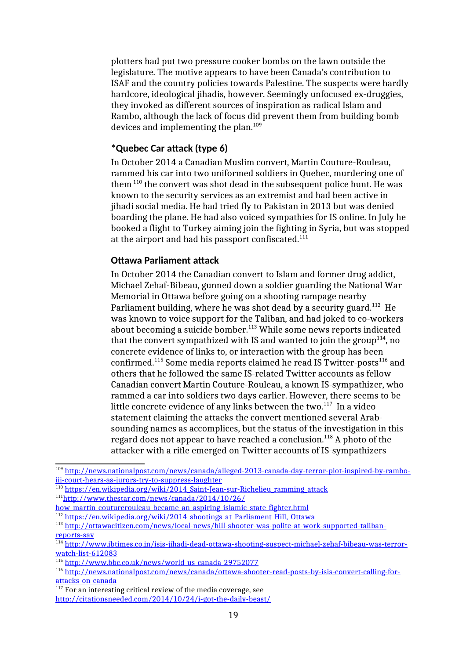plotters had put two pressure cooker bombs on the lawn outside the legislature. The motive appears to have been Canada's contribution to ISAF and the country policies towards Palestine. The suspects were hardly hardcore, ideological jihadis, however. Seemingly unfocused ex-druggies, they invoked as different sources of inspiration as radical Islam and Rambo, although the lack of focus did prevent them from building bomb devices and implementing the plan.<sup>109</sup>

## **\*Quebec Car attack (type 6)**

In October 2014 a Canadian Muslim convert, Martin Couture-Rouleau, rammed his car into two uniformed soldiers in Quebec, murdering one of them <sup>110</sup> the convert was shot dead in the subsequent police hunt. He was known to the security services as an extremist and had been active in jihadi social media. He had tried fly to Pakistan in 2013 but was denied boarding the plane. He had also voiced sympathies for IS online. In July he booked a flight to Turkey aiming join the fighting in Syria, but was stopped at the airport and had his passport confiscated.<sup>111</sup>

### **Ottawa Parliament attack**

In October 2014 the Canadian convert to Islam and former drug addict, Michael Zehaf-Bibeau, gunned down a soldier guarding the National War Memorial in Ottawa before going on a shooting rampage nearby Parliament building, where he was shot dead by a security guard.<sup>112</sup> He was known to voice support for the Taliban, and had joked to co-workers about becoming a suicide bomber.<sup>113</sup> While some news reports indicated that the convert sympathized with IS and wanted to join the group<sup>114</sup>, no concrete evidence of links to, or interaction with the group has been confirmed.<sup>115</sup> Some media reports claimed he read IS Twitter-posts<sup>116</sup> and others that he followed the same IS-related Twitter accounts as fellow Canadian convert Martin Couture-Rouleau, a known IS-sympathizer, who rammed a car into soldiers two days earlier. However, there seems to be little concrete evidence of any links between the two. $117$  In a video statement claiming the attacks the convert mentioned several Arabsounding names as accomplices, but the status of the investigation in this regard does not appear to have reached a conclusion.<sup>118</sup> A photo of the attacker with a rifle emerged on Twitter accounts of IS-sympathizers

<sup>112</sup> https://en.wikipedia.org/wiki/2014\_shootings\_at\_Parliament\_Hill,\_Ottawa

<sup>109</sup> http://news.nationalpost.com/news/canada/alleged-2013-canada-day-terror-plot-inspired-by-ramboiii-court-hears-as-jurors-try-to-suppress-laughter

<sup>&</sup>lt;sup>110</sup> https://en.wikipedia.org/wiki/2014\_Saint-Jean-sur-Richelieu\_ramming\_attack 111 http://www.thestar.com/news/canada/2014/10/26/

how martin couturerouleau became an aspiring islamic state fighter.html

<sup>113</sup> http://ottawacitizen.com/news/local-news/hill-shooter-was-polite-at-work-supported-talibanreports-say

<sup>114</sup> http://www.ibtimes.co.in/isis-jihadi-dead-ottawa-shooting-suspect-michael-zehaf-bibeau-was-terrorwatch-list-612083

<sup>115</sup> http://www.bbc.co.uk/news/world-us-canada-29752077

<sup>116</sup> http://news.nationalpost.com/news/canada/ottawa-shooter-read-posts-by-isis-convert-calling-forattacks-on-canada

 $\frac{117}{117}$  For an interesting critical review of the media coverage, see http://citationsneeded.com/2014/10/24/i-got-the-daily-beast/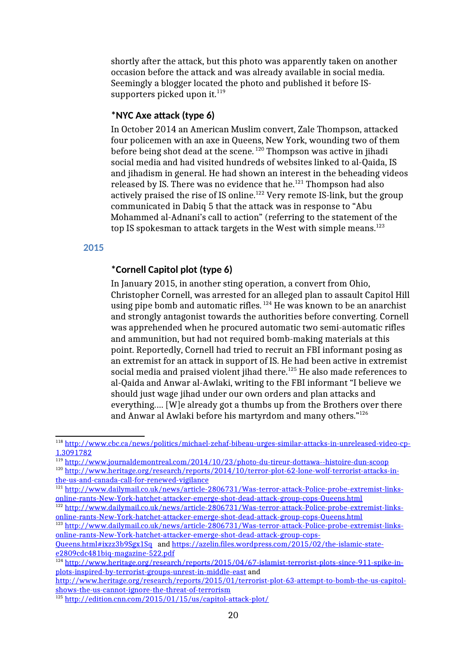shortly after the attack, but this photo was apparently taken on another occasion before the attack and was already available in social media. Seemingly a blogger located the photo and published it before ISsupporters picked upon it. $^{119}$ 

### **\*NYC Axe attack (type 6)**

In October 2014 an American Muslim convert, Zale Thompson, attacked four policemen with an axe in Queens, New York, wounding two of them before being shot dead at the scene. <sup>120</sup> Thompson was active in jihadi social media and had visited hundreds of websites linked to al-Qaida, IS and jihadism in general. He had shown an interest in the beheading videos released by IS. There was no evidence that he.<sup>121</sup> Thompson had also actively praised the rise of IS online.<sup>122</sup> Very remote IS-link, but the group communicated in Dabiq 5 that the attack was in response to "Abu Mohammed al-Adnani's call to action" (referring to the statement of the top IS spokesman to attack targets in the West with simple means.<sup>123</sup>

**2015**

### **\*Cornell Capitol plot (type 6)**

In January 2015, in another sting operation, a convert from Ohio, Christopher Cornell, was arrested for an alleged plan to assault Capitol Hill using pipe bomb and automatic rifles.  $124$  He was known to be an anarchist and strongly antagonist towards the authorities before converting. Cornell was apprehended when he procured automatic two semi-automatic rifles and ammunition, but had not required bomb-making materials at this point. Reportedly, Cornell had tried to recruit an FBI informant posing as an extremist for an attack in support of IS. He had been active in extremist social media and praised violent jihad there.<sup>125</sup> He also made references to al-Qaida and Anwar al-Awlaki, writing to the FBI informant "I believe we should just wage jihad under our own orders and plan attacks and everything.… [W]e already got a thumbs up from the Brothers over there and Anwar al Awlaki before his martyrdom and many others."<sup>126</sup>

<sup>118</sup> http://www.cbc.ca/news/politics/michael-zehaf-bibeau-urges-similar-attacks-in-unreleased-video-cp-1.3091782

<sup>119</sup> http://www.journaldemontreal.com/2014/10/23/photo-du-tireur-dottawa--histoire-dun-scoop

<sup>120</sup> http://www.heritage.org/research/reports/2014/10/terror-plot-62-lone-wolf-terrorist-attacks-inthe-us-and-canada-call-for-renewed-vigilance

<sup>121</sup> http://www.dailymail.co.uk/news/article-2806731/Was-terror-attack-Police-probe-extremist-linksonline-rants-New-York-hatchet-attacker-emerge-shot-dead-attack-group-cops-Queens.html

<sup>&</sup>lt;sup>122</sup> http://www.dailymail.co.uk/news/article-2806731/Was-terror-attack-Police-probe-extremist-linksonline-rants-New-York-hatchet-attacker-emerge-shot-dead-attack-group-cops-Queens.html

<sup>123</sup> http://www.dailymail.co.uk/news/article-2806731/Was-terror-attack-Police-probe-extremist-linksonline-rants-New-York-hatchet-attacker-emerge-shot-dead-attack-group-cops-

Queens.html#ixzz3b9Sgx1Sq and https://azelin.files.wordpress.com/2015/02/the-islamic-statee2809cdc481biq-magazine-522.pdf

<sup>&</sup>lt;sup>124</sup> http://www.heritage.org/research/reports/2015/04/67-islamist-terrorist-plots-since-911-spike-inplots-inspired-by-terrorist-groups-unrest-in-middle-east and

http://www.heritage.org/research/reports/2015/01/terrorist-plot-63-attempt-to-bomb-the-us-capitolshows-the-us-cannot-ignore-the-threat-of-terrorism

<sup>125</sup> http://edition.cnn.com/2015/01/15/us/capitol-attack-plot/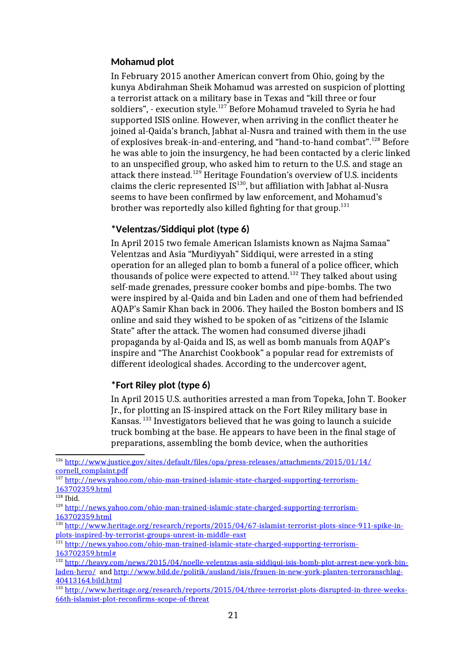## **Mohamud plot**

In February 2015 another American convert from Ohio, going by the kunya Abdirahman Sheik Mohamud was arrested on suspicion of plotting a terrorist attack on a military base in Texas and "kill three or four soldiers", - execution style.<sup>127</sup> Before Mohamud traveled to Syria he had supported ISIS online. However, when arriving in the conflict theater he joined al-Qaida's branch, Jabhat al-Nusra and trained with them in the use of explosives break-in-and-entering, and "hand-to-hand combat".<sup>128</sup> Before he was able to join the insurgency, he had been contacted by a cleric linked to an unspecified group, who asked him to return to the U.S. and stage an attack there instead.<sup>129</sup> Heritage Foundation's overview of U.S. incidents claims the cleric represented  $IS^{130}$ , but affiliation with Jabhat al-Nusra seems to have been confirmed by law enforcement, and Mohamud's brother was reportedly also killed fighting for that group.<sup>131</sup>

## **\*Velentzas/Siddiqui plot (type 6)**

In April 2015 two female American Islamists known as Najma Samaa" Velentzas and Asia "Murdiyyah" Siddiqui, were arrested in a sting operation for an alleged plan to bomb a funeral of a police officer, which thousands of police were expected to attend.<sup>132</sup> They talked about using self-made grenades, pressure cooker bombs and pipe-bombs. The two were inspired by al-Qaida and bin Laden and one of them had befriended AQAP's Samir Khan back in 2006. They hailed the Boston bombers and IS online and said they wished to be spoken of as "citizens of the Islamic State" after the attack. The women had consumed diverse jihadi propaganda by al-Qaida and IS, as well as bomb manuals from AQAP's inspire and "The Anarchist Cookbook" a popular read for extremists of different ideological shades. According to the undercover agent,

# **\*Fort Riley plot (type 6)**

In April 2015 U.S. authorities arrested a man from Topeka, John T. Booker Jr., for plotting an IS-inspired attack on the Fort Riley military base in Kansas. <sup>133</sup> Investigators believed that he was going to launch a suicide truck bombing at the base. He appears to have been in the final stage of preparations, assembling the bomb device, when the authorities

<sup>126</sup> http://www.justice.gov/sites/default/files/opa/press-releases/attachments/2015/01/14/ cornell\_complaint.pdf

<sup>127</sup> http://news.yahoo.com/ohio-man-trained-islamic-state-charged-supporting-terrorism-163702359.html

 $128$  Ibid.

<sup>129</sup> http://news.yahoo.com/ohio-man-trained-islamic-state-charged-supporting-terrorism-163702359.html

<sup>130</sup> http://www.heritage.org/research/reports/2015/04/67-islamist-terrorist-plots-since-911-spike-inplots-inspired-by-terrorist-groups-unrest-in-middle-east

<sup>131</sup> http://news.yahoo.com/ohio-man-trained-islamic-state-charged-supporting-terrorism-163702359.html#

<sup>132</sup> http://heavy.com/news/2015/04/noelle-velentzas-asia-siddiqui-isis-bomb-plot-arrest-new-york-binladen-hero/ and http://www.bild.de/politik/ausland/isis/frauen-in-new-york-planten-terroranschlag-40413164.bild.html

<sup>&</sup>lt;sup>133</sup> http://www.heritage.org/research/reports/2015/04/three-terrorist-plots-disrupted-in-three-weeks-66th-islamist-plot-reconfirms-scope-of-threat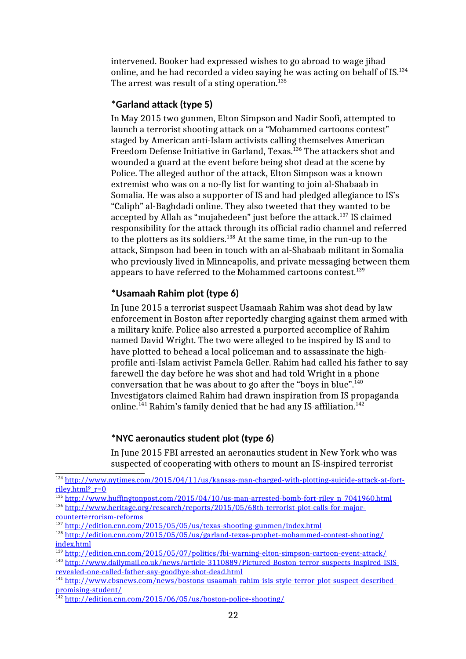intervened. Booker had expressed wishes to go abroad to wage jihad online, and he had recorded a video saying he was acting on behalf of IS.<sup>134</sup> The arrest was result of a sting operation.<sup>135</sup>

## **\*Garland attack (type 5)**

In May 2015 two gunmen, Elton Simpson and Nadir Soofi, attempted to launch a terrorist shooting attack on a "Mohammed cartoons contest" staged by American anti-Islam activists calling themselves American Freedom Defense Initiative in Garland, Texas.<sup>136</sup> The attackers shot and wounded a guard at the event before being shot dead at the scene by Police. The alleged author of the attack, Elton Simpson was a known extremist who was on a no-fly list for wanting to join al-Shabaab in Somalia. He was also a supporter of IS and had pledged allegiance to IS's "Caliph" al-Baghdadi online. They also tweeted that they wanted to be accepted by Allah as "mujahedeen" just before the attack.<sup>137</sup> IS claimed responsibility for the attack through its official radio channel and referred to the plotters as its soldiers.<sup>138</sup> At the same time, in the run-up to the attack, Simpson had been in touch with an al-Shabaab militant in Somalia who previously lived in Minneapolis, and private messaging between them appears to have referred to the Mohammed cartoons contest.<sup>139</sup>

## **\*Usamaah Rahim plot (type 6)**

In June 2015 a terrorist suspect Usamaah Rahim was shot dead by law enforcement in Boston after reportedly charging against them armed with a military knife. Police also arrested a purported accomplice of Rahim named David Wright. The two were alleged to be inspired by IS and to have plotted to behead a local policeman and to assassinate the highprofile anti-Islam activist Pamela Geller. Rahim had called his father to say farewell the day before he was shot and had told Wright in a phone conversation that he was about to go after the "boys in blue". $^{140}$ Investigators claimed Rahim had drawn inspiration from IS propaganda online.<sup>141</sup> Rahim's family denied that he had any IS-affiliation.<sup>142</sup>

### **\*NYC aeronautics student plot (type 6)**

In June 2015 FBI arrested an aeronautics student in New York who was suspected of cooperating with others to mount an IS-inspired terrorist

<sup>134</sup> http://www.nytimes.com/2015/04/11/us/kansas-man-charged-with-plotting-suicide-attack-at-fortriley.html? $r=0$ 

<sup>&</sup>lt;sup>135</sup> http://www.huffingtonpost.com/2015/04/10/us-man-arrested-bomb-fort-riley\_n\_7041960.html

<sup>136</sup> http://www.heritage.org/research/reports/2015/05/68th-terrorist-plot-calls-for-majorcounterterrorism-reforms

<sup>137</sup> http://edition.cnn.com/2015/05/05/us/texas-shooting-gunmen/index.html

<sup>138</sup> http://edition.cnn.com/2015/05/05/us/garland-texas-prophet-mohammed-contest-shooting/ index.html

 $\frac{139 \text{ http://edition.cnn.com/2015/05/07/politics/fbi-warnin2-elton-simposon-cartoon-event-attack/}}{139 \text{ http://edition.cnn.com/2015/05/07/politics/fbi-warnin2-elton-simposon-cartoon-event-attack/}}$ 

<sup>140</sup> http://www.dailymail.co.uk/news/article-3110889/Pictured-Boston-terror-suspects-inspired-ISISrevealed-one-called-father-say-goodbye-shot-dead.html

<sup>141</sup> http://www.cbsnews.com/news/bostons-usaamah-rahim-isis-style-terror-plot-suspect-describedpromising-student/

<sup>142</sup> http://edition.cnn.com/2015/06/05/us/boston-police-shooting/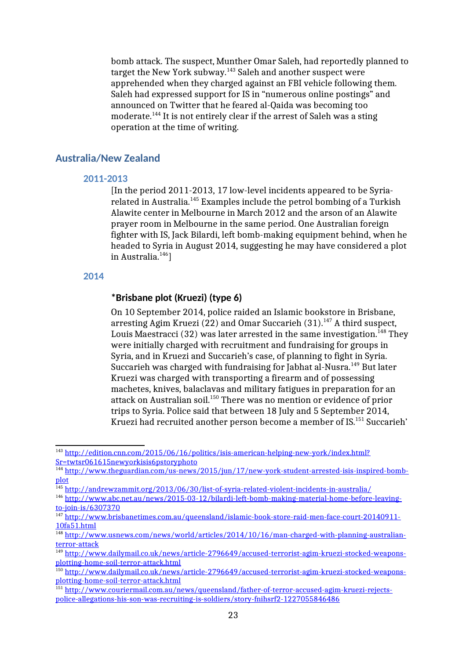bomb attack. The suspect, Munther Omar Saleh, had reportedly planned to target the New York subway.<sup>143</sup> Saleh and another suspect were apprehended when they charged against an FBI vehicle following them. Saleh had expressed support for IS in "numerous online postings" and announced on Twitter that he feared al-Qaida was becoming too moderate.<sup>144</sup> It is not entirely clear if the arrest of Saleh was a sting operation at the time of writing.

## **Australia/New Zealand**

#### **2011-2013**

[In the period 2011-2013, 17 low-level incidents appeared to be Syriarelated in Australia.<sup>145</sup> Examples include the petrol bombing of a Turkish Alawite center in Melbourne in March 2012 and the arson of an Alawite prayer room in Melbourne in the same period. One Australian foreign fighter with IS, Jack Bilardi, left bomb-making equipment behind, when he headed to Syria in August 2014, suggesting he may have considered a plot in Australia. $146$ ]

#### **2014**

## **\*Brisbane plot (Kruezi) (type 6)**

On 10 September 2014, police raided an Islamic bookstore in Brisbane, arresting Agim Kruezi (22) and Omar Succarieh (31).<sup>147</sup> A third suspect, Louis Maestracci (32) was later arrested in the same investigation.<sup>148</sup> They were initially charged with recruitment and fundraising for groups in Syria, and in Kruezi and Succarieh's case, of planning to fight in Syria. Succarieh was charged with fundraising for Jabhat al-Nusra.<sup>149</sup> But later Kruezi was charged with transporting a firearm and of possessing machetes, knives, balaclavas and military fatigues in preparation for an attack on Australian soil.<sup>150</sup> There was no mention or evidence of prior trips to Syria. Police said that between 18 July and 5 September 2014, Kruezi had recruited another person become a member of IS.<sup>151</sup> Succarieh'

<sup>&</sup>lt;sup>143</sup> http://edition.cnn.com/2015/06/16/politics/isis-american-helping-new-york/index.html? Sr=twtsr061615newyorkisis6pstoryphoto

<sup>144</sup> http://www.theguardian.com/us-news/2015/jun/17/new-york-student-arrested-isis-inspired-bombplot

<sup>145</sup> http://andrewzammit.org/2013/06/30/list-of-syria-related-violent-incidents-in-australia/

<sup>146</sup> http://www.abc.net.au/news/2015-03-12/bilardi-left-bomb-making-material-home-before-leavingto-join-is/6307370

<sup>&</sup>lt;sup>147</sup> http://www.brisbanetimes.com.au/queensland/islamic-book-store-raid-men-face-court-20140911-10fa51.html

<sup>&</sup>lt;sup>148</sup> http://ww<u>w.usnews.com/news/world/articles/2014/10/16/man-charged-with-planning-australian-</u> terror-attack

<sup>149</sup> http://www.dailymail.co.uk/news/article-2796649/accused-terrorist-agim-kruezi-stocked-weaponsplotting-home-soil-terror-attack.html

<sup>150</sup> http://www.dailymail.co.uk/news/article-2796649/accused-terrorist-agim-kruezi-stocked-weaponsplotting-home-soil-terror-attack.html

<sup>151</sup> http://www.couriermail.com.au/news/queensland/father-of-terror-accused-agim-kruezi-rejectspolice-allegations-his-son-was-recruiting-is-soldiers/story-fnihsrf2-1227055846486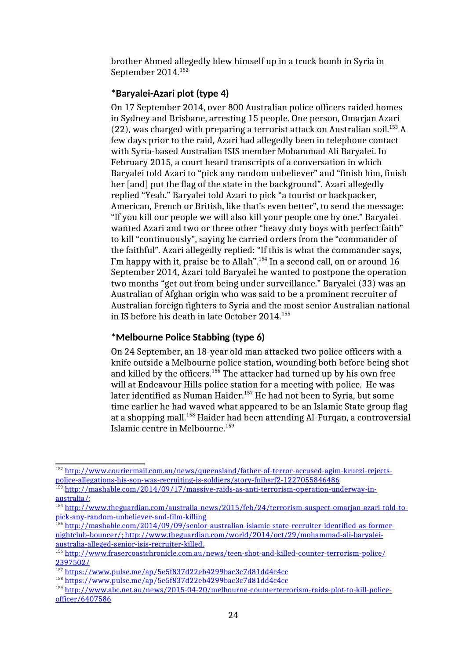brother Ahmed allegedly blew himself up in a truck bomb in Syria in September 2014.<sup>152</sup>

# **\*Baryalei-Azari plot (type 4)**

On 17 September 2014, over 800 Australian police officers raided homes in Sydney and Brisbane, arresting 15 people. One person, Omarjan Azari (22), was charged with preparing a terrorist attack on Australian soil.<sup>153</sup> A few days prior to the raid, Azari had allegedly been in telephone contact with Syria-based Australian ISIS member Mohammad Ali Baryalei. In February 2015, a court heard transcripts of a conversation in which Baryalei told Azari to "pick any random unbeliever" and "finish him, finish her [and] put the flag of the state in the background". Azari allegedly replied "Yeah." Baryalei told Azari to pick "a tourist or backpacker, American, French or British, like that's even better", to send the message: "If you kill our people we will also kill your people one by one." Baryalei wanted Azari and two or three other "heavy duty boys with perfect faith" to kill "continuously", saying he carried orders from the "commander of the faithful". Azari allegedly replied: "If this is what the commander says, I'm happy with it, praise be to Allah".<sup>154</sup> In a second call, on or around 16 September 2014, Azari told Baryalei he wanted to postpone the operation two months "get out from being under surveillance." Baryalei (33) was an Australian of Afghan origin who was said to be a prominent recruiter of Australian foreign fighters to Syria and the most senior Australian national in IS before his death in late October 2014.<sup>155</sup>

# **\*Melbourne Police Stabbing (type 6)**

On 24 September, an 18-year old man attacked two police officers with a knife outside a Melbourne police station, wounding both before being shot and killed by the officers.<sup>156</sup> The attacker had turned up by his own free will at Endeavour Hills police station for a meeting with police. He was later identified as Numan Haider.<sup>157</sup> He had not been to Syria, but some time earlier he had waved what appeared to be an Islamic State group flag at a shopping mall.<sup>158</sup> Haider had been attending Al-Furqan, a controversial Islamic centre in Melbourne.<sup>159</sup>

<sup>152</sup> http://www.couriermail.com.au/news/queensland/father-of-terror-accused-agim-kruezi-rejectspolice-allegations-his-son-was-recruiting-is-soldiers/story-fnihsrf2-1227055846486

<sup>153</sup> http://mashable.com/2014/09/17/massive-raids-as-anti-terrorism-operation-underway-in-<u>australia/</u>;

<sup>&</sup>lt;sup>154</sup> http://www.theguardian.com/australia-news/2015/feb/24/terrorism-suspect-omarjan-azari-told-topick-any-random-unbeliever-and-film-killing

<sup>&</sup>lt;sup>155</sup> http://mashable.com/2014/09/09/senior-australian-islamic-state-recruiter-identified-as-former nightclub-bouncer/ ; http://www.theguardian.com/world/2014/oct/29/mohammad-ali-baryaleiaustralia-alleged-senior-isis-recruiter-killed.

<sup>156</sup> http://www.frasercoastchronicle.com.au/news/teen-shot-and-killed-counter-terrorism-police/ 2397502/

<sup>157</sup> https://www.pulse.me/ap/5e5f837d22eb4299bac3c7d81dd4c4cc

<sup>158</sup> https://www.pulse.me/ap/5e5f837d22eb4299bac3c7d81dd4c4cc

<sup>159</sup> http://www.abc.net.au/news/2015-04-20/melbourne-counterterrorism-raids-plot-to-kill-policeofficer/6407586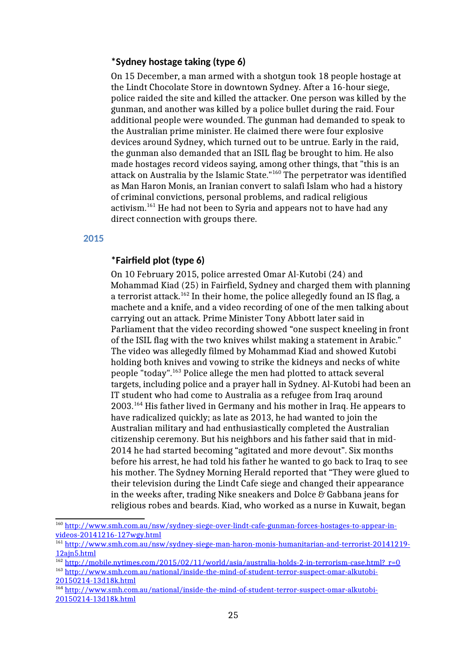### **\*Sydney hostage taking (type 6)**

On 15 December, a man armed with a shotgun took 18 people hostage at the Lindt Chocolate Store in downtown Sydney. After a 16-hour siege, police raided the site and killed the attacker. One person was killed by the gunman, and another was killed by a police bullet during the raid. Four additional people were wounded. The gunman had demanded to speak to the Australian prime minister. He claimed there were four explosive devices around Sydney, which turned out to be untrue. Early in the raid, the gunman also demanded that an ISIL flag be brought to him. He also made hostages record videos saying, among other things, that "this is an attack on Australia by the Islamic State."<sup>160</sup> The perpetrator was identified as Man Haron Monis, an Iranian convert to salafi Islam who had a history of criminal convictions, personal problems, and radical religious activism.<sup>161</sup> He had not been to Syria and appears not to have had any direct connection with groups there.

#### **2015**

## **\*Fairfield plot (type 6)**

On 10 February 2015, police arrested Omar Al-Kutobi (24) and Mohammad Kiad (25) in Fairfield, Sydney and charged them with planning a terrorist attack.<sup>162</sup> In their home, the police allegedly found an IS flag, a machete and a knife, and a video recording of one of the men talking about carrying out an attack. Prime Minister Tony Abbott later said in Parliament that the video recording showed "one suspect kneeling in front of the ISIL flag with the two knives whilst making a statement in Arabic." The video was allegedly filmed by Mohammad Kiad and showed Kutobi holding both knives and vowing to strike the kidneys and necks of white people "today".<sup>163</sup> Police allege the men had plotted to attack several targets, including police and a prayer hall in Sydney. Al-Kutobi had been an IT student who had come to Australia as a refugee from Iraq around 2003.<sup>164</sup> His father lived in Germany and his mother in Iraq. He appears to have radicalized quickly; as late as 2013, he had wanted to join the Australian military and had enthusiastically completed the Australian citizenship ceremony. But his neighbors and his father said that in mid-2014 he had started becoming "agitated and more devout". Six months before his arrest, he had told his father he wanted to go back to Iraq to see his mother. The Sydney Morning Herald reported that "They were glued to their television during the Lindt Cafe siege and changed their appearance in the weeks after, trading Nike sneakers and Dolce & Gabbana jeans for religious robes and beards. Kiad, who worked as a nurse in Kuwait, began

<sup>160</sup> http://www.smh.com.au/nsw/sydney-siege-over-lindt-cafe-gunman-forces-hostages-to-appear-invideos-20141216-127wgy.html

<sup>161</sup> http://www.smh.com.au/nsw/sydney-siege-man-haron-monis-humanitarian-and-terrorist-20141219- 12ajn5.html

 $\frac{162 \text{ http://mobile.nytimes.com/2015/02/11/world/asia/australia-holds-2-in-terrorism-case.html?}}{$ r=0

<sup>163</sup> http://www.smh.com.au/national/inside-the-mind-of-student-terror-suspect-omar-alkutobi-20150214-13d18k.html

<sup>&</sup>lt;sup>164</sup> http://www.smh.com.au/national/inside-the-mind-of-student-terror-suspect-omar-alkutobi-20150214-13d18k.html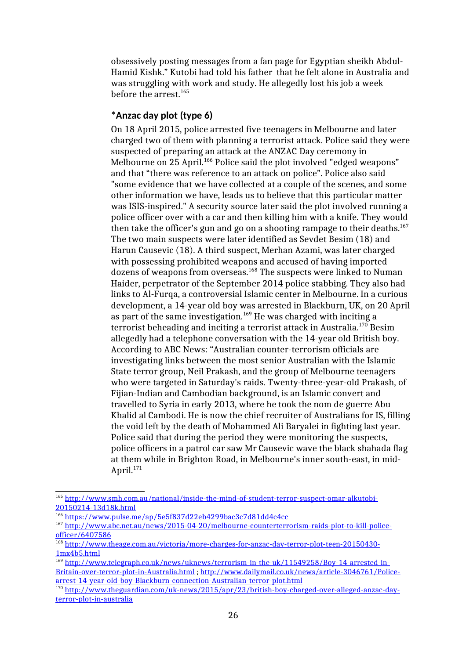obsessively posting messages from a fan page for Egyptian sheikh Abdul-Hamid Kishk." Kutobi had told his father that he felt alone in Australia and was struggling with work and study. He allegedly lost his job a week before the arrest.<sup>165</sup>

## **\*Anzac day plot (type 6)**

On 18 April 2015, police arrested five teenagers in Melbourne and later charged two of them with planning a terrorist attack. Police said they were suspected of preparing an attack at the ANZAC Day ceremony in Melbourne on 25 April.<sup>166</sup> Police said the plot involved "edged weapons" and that "there was reference to an attack on police". Police also said "some evidence that we have collected at a couple of the scenes, and some other information we have, leads us to believe that this particular matter was ISIS-inspired." A security source later said the plot involved running a police officer over with a car and then killing him with a knife. They would then take the officer's gun and go on a shooting rampage to their deaths. $167$ The two main suspects were later identified as Sevdet Besim (18) and Harun Causevic (18). A third suspect, Merhan Azami, was later charged with possessing prohibited weapons and accused of having imported dozens of weapons from overseas.<sup>168</sup> The suspects were linked to Numan Haider, perpetrator of the September 2014 police stabbing. They also had links to Al-Furqa, a controversial Islamic center in Melbourne. In a curious development, a 14-year old boy was arrested in Blackburn, UK, on 20 April as part of the same investigation.<sup>169</sup> He was charged with inciting a terrorist beheading and inciting a terrorist attack in Australia.<sup>170</sup> Besim allegedly had a telephone conversation with the 14-year old British boy. According to ABC News: "Australian counter-terrorism officials are investigating links between the most senior Australian with the Islamic State terror group, Neil Prakash, and the group of Melbourne teenagers who were targeted in Saturday's raids. Twenty-three-year-old Prakash, of Fijian-Indian and Cambodian background, is an Islamic convert and travelled to Syria in early 2013, where he took the nom de guerre Abu Khalid al Cambodi. He is now the chief recruiter of Australians for IS, filling the void left by the death of Mohammed Ali Baryalei in fighting last year. Police said that during the period they were monitoring the suspects, police officers in a patrol car saw Mr Causevic wave the black shahada flag at them while in Brighton Road, in Melbourne's inner south-east, in mid-April.<sup>171</sup>

<sup>&</sup>lt;sup>165</sup> http://www.smh.com.au/national/inside-the-mind-of-student-terror-suspect-omar-alkutobi-20150214-13d18k.html

<sup>166</sup> https://www.pulse.me/ap/5e5f837d22eb4299bac3c7d81dd4c4cc

<sup>167</sup> http://www.abc.net.au/news/2015-04-20/melbourne-counterterrorism-raids-plot-to-kill-policeofficer/6407586

<sup>&</sup>lt;sup>168</sup> http://www.theage.com.au/victoria/more-charges-for-anzac-day-terror-plot-teen-20150430-1mx4b5.html

<sup>&</sup>lt;sup>169</sup> http://www.telegraph.co.uk/news/uknews/terrorism-in-the-uk/11549258/Boy-14-arrested-in-Britain-over-terror-plot-in-Australia.html ; http://www.dailymail.co.uk/news/article-3046761/Policearrest-14-year-old-boy-Blackburn-connection-Australian-terror-plot.html

<sup>&</sup>lt;sup>170</sup> http://www.theguardian.com/uk-news/2015/apr/23/british-boy-charged-over-alleged-anzac-dayterror-plot-in-australia